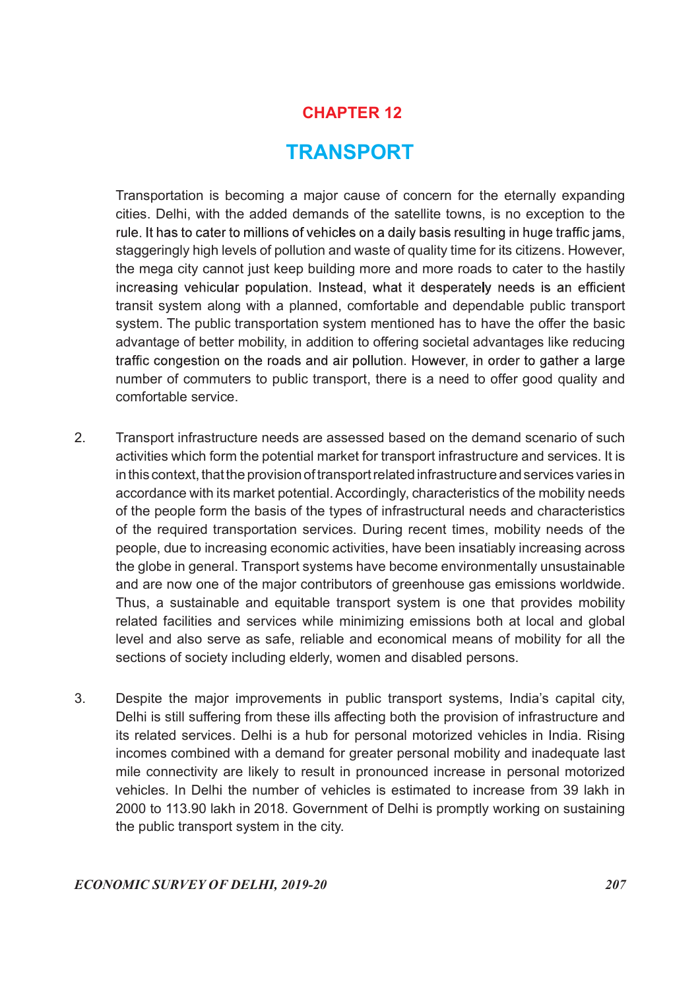# CHAPTER 12

# TRANSPORT

 Transportation is becoming a major cause of concern for the eternally expanding cities. Delhi, with the added demands of the satellite towns, is no exception to the rule. It has to cater to millions of vehicles on a daily basis resulting in huge traffic jams, staggeringly high levels of pollution and waste of quality time for its citizens. However, the mega city cannot just keep building more and more roads to cater to the hastily increasing vehicular population. Instead, what it desperately needs is an efficient transit system along with a planned, comfortable and dependable public transport system. The public transportation system mentioned has to have the offer the basic advantage of better mobility, in addition to offering societal advantages like reducing traffic congestion on the roads and air pollution. However, in order to gather a large number of commuters to public transport, there is a need to offer good quality and comfortable service.

- 2. Transport infrastructure needs are assessed based on the demand scenario of such activities which form the potential market for transport infrastructure and services. It is in this context, that the provision of transport related infrastructure and services varies in accordance with its market potential. Accordingly, characteristics of the mobility needs of the people form the basis of the types of infrastructural needs and characteristics of the required transportation services. During recent times, mobility needs of the people, due to increasing economic activities, have been insatiably increasing across the globe in general. Transport systems have become environmentally unsustainable and are now one of the major contributors of greenhouse gas emissions worldwide. Thus, a sustainable and equitable transport system is one that provides mobility related facilities and services while minimizing emissions both at local and global level and also serve as safe, reliable and economical means of mobility for all the sections of society including elderly, women and disabled persons.
- 3. Despite the major improvements in public transport systems, India's capital city, Delhi is still suffering from these ills affecting both the provision of infrastructure and its related services. Delhi is a hub for personal motorized vehicles in India. Rising incomes combined with a demand for greater personal mobility and inadequate last mile connectivity are likely to result in pronounced increase in personal motorized vehicles. In Delhi the number of vehicles is estimated to increase from 39 lakh in 2000 to 113.90 lakh in 2018. Government of Delhi is promptly working on sustaining the public transport system in the city.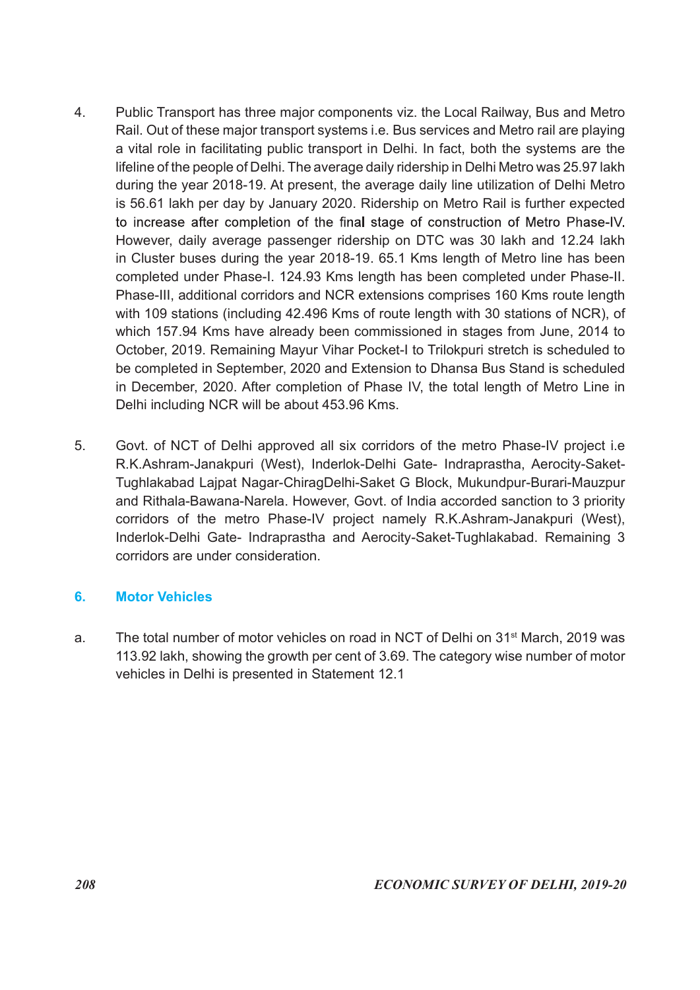- 4. Public Transport has three major components viz. the Local Railway, Bus and Metro Rail. Out of these major transport systems i.e. Bus services and Metro rail are playing a vital role in facilitating public transport in Delhi. In fact, both the systems are the lifeline of the people of Delhi. The average daily ridership in Delhi Metro was 25.97 lakh during the year 2018-19. At present, the average daily line utilization of Delhi Metro is 56.61 lakh per day by January 2020. Ridership on Metro Rail is further expected to increase after completion of the final stage of construction of Metro Phase-IV. However, daily average passenger ridership on DTC was 30 lakh and 12.24 lakh in Cluster buses during the year 2018-19. 65.1 Kms length of Metro line has been completed under Phase-I. 124.93 Kms length has been completed under Phase-II. Phase-III, additional corridors and NCR extensions comprises 160 Kms route length with 109 stations (including 42.496 Kms of route length with 30 stations of NCR), of which 157.94 Kms have already been commissioned in stages from June, 2014 to October, 2019. Remaining Mayur Vihar Pocket-I to Trilokpuri stretch is scheduled to be completed in September, 2020 and Extension to Dhansa Bus Stand is scheduled in December, 2020. After completion of Phase IV, the total length of Metro Line in Delhi including NCR will be about 453.96 Kms.
- 5. Govt. of NCT of Delhi approved all six corridors of the metro Phase-IV project i.e R.K.Ashram-Janakpuri (West), Inderlok-Delhi Gate- Indraprastha, Aerocity-Saket-Tughlakabad Lajpat Nagar-ChiragDelhi-Saket G Block, Mukundpur-Burari-Mauzpur and Rithala-Bawana-Narela. However, Govt. of India accorded sanction to 3 priority corridors of the metro Phase-IV project namely R.K.Ashram-Janakpuri (West), Inderlok-Delhi Gate- Indraprastha and Aerocity-Saket-Tughlakabad. Remaining 3 corridors are under consideration.

# 6. Motor Vehicles

a. The total number of motor vehicles on road in NCT of Delhi on 31st March, 2019 was 113.92 lakh, showing the growth per cent of 3.69. The category wise number of motor vehicles in Delhi is presented in Statement 12.1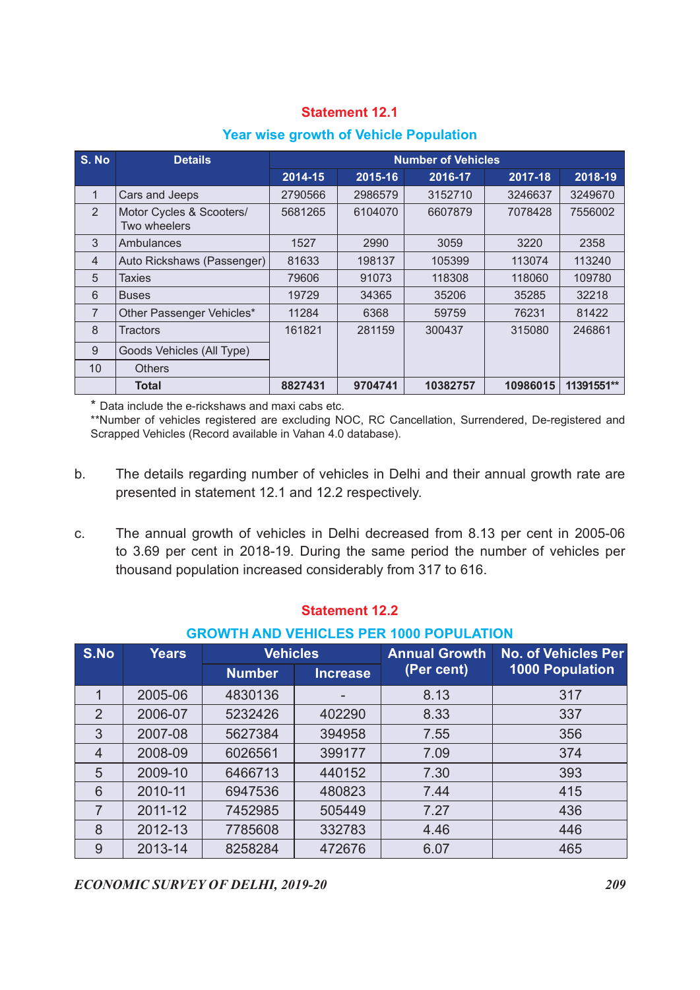| <b>Year wise growth of Vehicle Population</b> |  |
|-----------------------------------------------|--|
|                                               |  |

|                |                                                                                                                                                                   |         | <b>Statement 12.1</b> |                                               |         |                       |
|----------------|-------------------------------------------------------------------------------------------------------------------------------------------------------------------|---------|-----------------------|-----------------------------------------------|---------|-----------------------|
|                |                                                                                                                                                                   |         |                       |                                               |         |                       |
|                |                                                                                                                                                                   |         |                       | <b>Year wise growth of Vehicle Population</b> |         |                       |
| S. No          | <b>Details</b>                                                                                                                                                    |         |                       | <b>Number of Vehicles</b>                     |         |                       |
|                |                                                                                                                                                                   | 2014-15 | 2015-16               | 2016-17                                       | 2017-18 | 2018-19               |
| $\overline{1}$ | Cars and Jeeps                                                                                                                                                    | 2790566 | 2986579               | 3152710                                       | 3246637 | 3249670               |
| 2              | Motor Cycles & Scooters/<br>Two wheelers                                                                                                                          | 5681265 | 6104070               | 6607879                                       | 7078428 | 7556002               |
| 3              | Ambulances                                                                                                                                                        | 1527    | 2990                  | 3059                                          | 3220    | 2358                  |
| $\overline{4}$ | Auto Rickshaws (Passenger)                                                                                                                                        | 81633   | 198137                | 105399                                        | 113074  | 113240                |
| $\sqrt{5}$     | <b>Taxies</b>                                                                                                                                                     | 79606   | 91073                 | 118308                                        | 118060  | 109780                |
| $6\phantom{1}$ | <b>Buses</b>                                                                                                                                                      | 19729   | 34365                 | 35206                                         | 35285   | 32218                 |
| $\overline{7}$ | Other Passenger Vehicles*                                                                                                                                         | 11284   | 6368                  | 59759                                         | 76231   | 81422                 |
|                | <b>Tractors</b>                                                                                                                                                   | 161821  | 281159                | 300437                                        | 315080  | 246861                |
| 8              | Goods Vehicles (All Type)                                                                                                                                         |         |                       |                                               |         |                       |
| 9              |                                                                                                                                                                   |         |                       |                                               |         |                       |
| 10             | <b>Others</b>                                                                                                                                                     |         |                       | 10382757                                      |         | 10986015   11391551** |
|                | <b>Total</b>                                                                                                                                                      | 8827431 | 9704741               |                                               |         |                       |
|                |                                                                                                                                                                   |         |                       |                                               |         |                       |
|                | * Data include the e-rickshaws and maxi cabs etc.                                                                                                                 |         |                       |                                               |         |                       |
|                | **Number of vehicles registered are excluding NOC, RC Cancellation, Surrendered, De-registered and<br>Scrapped Vehicles (Record available in Vahan 4.0 database). |         |                       |                                               |         |                       |

- b. The details regarding number of vehicles in Delhi and their annual growth rate are presented in statement 12.1 and 12.2 respectively.
- c. The annual growth of vehicles in Delhi decreased from 8.13 per cent in 2005-06 to 3.69 per cent in 2018-19. During the same period the number of vehicles per thousand population increased considerably from 317 to 616.

|               | Goods Vehicles (All Type) |         |                                                                                                                                                         |                                                                                            |                                                                                                                                                                                                |                                                                                                                                                                                                                                                                                                                                                                                                                                                                                                |
|---------------|---------------------------|---------|---------------------------------------------------------------------------------------------------------------------------------------------------------|--------------------------------------------------------------------------------------------|------------------------------------------------------------------------------------------------------------------------------------------------------------------------------------------------|------------------------------------------------------------------------------------------------------------------------------------------------------------------------------------------------------------------------------------------------------------------------------------------------------------------------------------------------------------------------------------------------------------------------------------------------------------------------------------------------|
| <b>Others</b> |                           |         |                                                                                                                                                         |                                                                                            |                                                                                                                                                                                                |                                                                                                                                                                                                                                                                                                                                                                                                                                                                                                |
| <b>Total</b>  |                           | 8827431 | 9704741                                                                                                                                                 | 10382757                                                                                   |                                                                                                                                                                                                | 10986015   11391551**                                                                                                                                                                                                                                                                                                                                                                                                                                                                          |
|               |                           |         |                                                                                                                                                         |                                                                                            |                                                                                                                                                                                                |                                                                                                                                                                                                                                                                                                                                                                                                                                                                                                |
|               |                           |         |                                                                                                                                                         |                                                                                            |                                                                                                                                                                                                |                                                                                                                                                                                                                                                                                                                                                                                                                                                                                                |
|               |                           |         |                                                                                                                                                         |                                                                                            |                                                                                                                                                                                                |                                                                                                                                                                                                                                                                                                                                                                                                                                                                                                |
|               |                           |         |                                                                                                                                                         |                                                                                            |                                                                                                                                                                                                |                                                                                                                                                                                                                                                                                                                                                                                                                                                                                                |
|               |                           |         |                                                                                                                                                         |                                                                                            |                                                                                                                                                                                                |                                                                                                                                                                                                                                                                                                                                                                                                                                                                                                |
|               |                           |         |                                                                                                                                                         |                                                                                            |                                                                                                                                                                                                |                                                                                                                                                                                                                                                                                                                                                                                                                                                                                                |
| 2005-06       |                           |         |                                                                                                                                                         | 8.13                                                                                       |                                                                                                                                                                                                | 317                                                                                                                                                                                                                                                                                                                                                                                                                                                                                            |
| 2006-07       |                           |         |                                                                                                                                                         | 8.33                                                                                       |                                                                                                                                                                                                | 337                                                                                                                                                                                                                                                                                                                                                                                                                                                                                            |
| 2007-08       |                           |         |                                                                                                                                                         | 7.55                                                                                       |                                                                                                                                                                                                | 356                                                                                                                                                                                                                                                                                                                                                                                                                                                                                            |
| 2008-09       |                           |         |                                                                                                                                                         | 7.09                                                                                       |                                                                                                                                                                                                | 374                                                                                                                                                                                                                                                                                                                                                                                                                                                                                            |
| 2009-10       |                           |         |                                                                                                                                                         | 7.30                                                                                       |                                                                                                                                                                                                | 393                                                                                                                                                                                                                                                                                                                                                                                                                                                                                            |
| 2010-11       |                           |         |                                                                                                                                                         | 7.44                                                                                       |                                                                                                                                                                                                | 415                                                                                                                                                                                                                                                                                                                                                                                                                                                                                            |
| 2011-12       | 7452985                   | 505449  |                                                                                                                                                         | 7.27                                                                                       |                                                                                                                                                                                                | 436                                                                                                                                                                                                                                                                                                                                                                                                                                                                                            |
|               | 7785608                   | 332783  |                                                                                                                                                         | 4.46                                                                                       |                                                                                                                                                                                                | 446                                                                                                                                                                                                                                                                                                                                                                                                                                                                                            |
| 2012-13       |                           |         |                                                                                                                                                         |                                                                                            |                                                                                                                                                                                                |                                                                                                                                                                                                                                                                                                                                                                                                                                                                                                |
|               | <b>Years</b>              |         | * Data include the e-rickshaws and maxi cabs etc.<br><b>Vehicles</b><br><b>Number</b><br>4830136<br>5232426<br>5627384<br>6026561<br>6466713<br>6947536 | <b>Statement 12.2</b><br><b>Increase</b><br>402290<br>394958<br>399177<br>440152<br>480823 | Scrapped Vehicles (Record available in Vahan 4.0 database).<br>presented in statement 12.1 and 12.2 respectively.<br>thousand population increased considerably from 317 to 616.<br>(Per cent) | **Number of vehicles registered are excluding NOC, RC Cancellation, Surrendered, De-registered and<br>The details regarding number of vehicles in Delhi and their annual growth rate are<br>The annual growth of vehicles in Delhi decreased from 8.13 per cent in 2005-06<br>to 3.69 per cent in 2018-19. During the same period the number of vehicles per<br><b>GROWTH AND VEHICLES PER 1000 POPULATION</b><br><b>Annual Growth</b><br><b>No. of Vehicles Per</b><br><b>1000 Population</b> |

#### Statement 12.2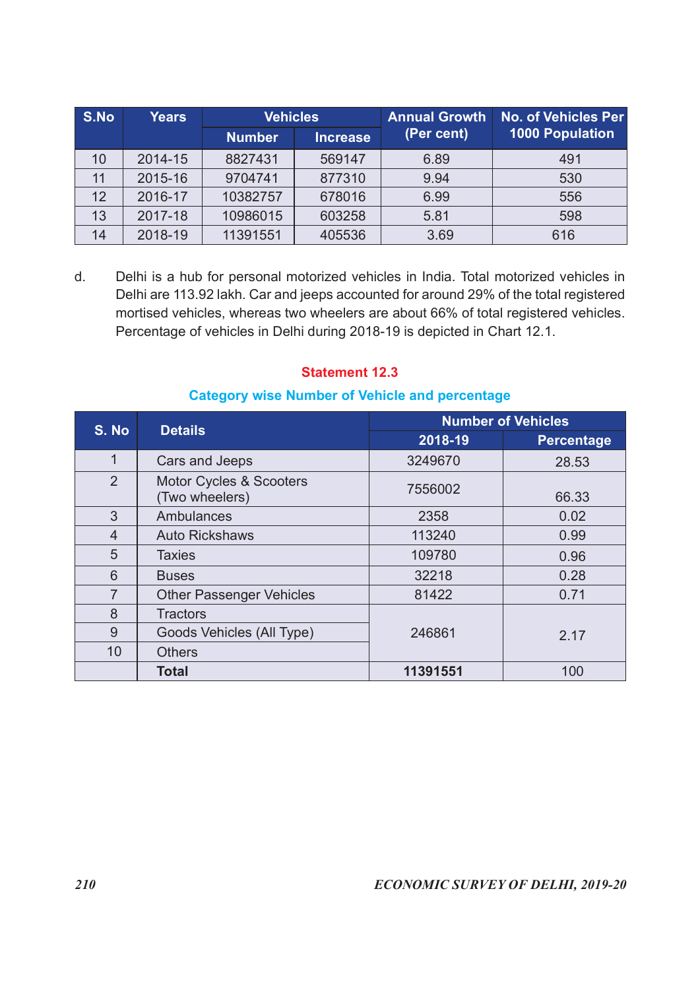| S.No           | <b>Years</b>   | <b>Vehicles</b>                                             |                       | <b>Annual Growth</b>                                                      | No. of Vehicles Per                                                                                                                                                                                                                                                  |
|----------------|----------------|-------------------------------------------------------------|-----------------------|---------------------------------------------------------------------------|----------------------------------------------------------------------------------------------------------------------------------------------------------------------------------------------------------------------------------------------------------------------|
|                |                | <b>Number</b>                                               | <b>Increase</b>       | (Per cent)                                                                | <b>1000 Population</b>                                                                                                                                                                                                                                               |
| 10             | 2014-15        | 8827431                                                     | 569147                | 6.89                                                                      | 491                                                                                                                                                                                                                                                                  |
| 11             | 2015-16        | 9704741                                                     | 877310                | 9.94                                                                      | 530                                                                                                                                                                                                                                                                  |
| 12             | 2016-17        | 10382757                                                    | 678016                | 6.99                                                                      | 556                                                                                                                                                                                                                                                                  |
| 13             | 2017-18        | 10986015                                                    | 603258                | 5.81                                                                      | 598                                                                                                                                                                                                                                                                  |
| 14             | 2018-19        | 11391551                                                    | 405536                | 3.69                                                                      | 616                                                                                                                                                                                                                                                                  |
| d.             |                |                                                             |                       | Percentage of vehicles in Delhi during 2018-19 is depicted in Chart 12.1. | Delhi is a hub for personal motorized vehicles in India. Total motorized vehicles in<br>Delhi are 113.92 lakh. Car and jeeps accounted for around 29% of the total registered<br>mortised vehicles, whereas two wheelers are about 66% of total registered vehicles. |
|                |                |                                                             | <b>Statement 12.3</b> | <b>Category wise Number of Vehicle and percentage</b>                     | <b>Number of Vehicles</b>                                                                                                                                                                                                                                            |
|                | <b>Details</b> |                                                             |                       | 2018-19                                                                   | <b>Percentage</b>                                                                                                                                                                                                                                                    |
| S. No          |                |                                                             |                       |                                                                           |                                                                                                                                                                                                                                                                      |
| $\mathbf{1}$   |                |                                                             |                       |                                                                           |                                                                                                                                                                                                                                                                      |
| $\overline{2}$ |                | Cars and Jeeps<br>Motor Cycles & Scooters<br>(Two wheelers) |                       | 3249670<br>7556002                                                        | 28.53<br>66.33                                                                                                                                                                                                                                                       |

#### Statement 12.3

#### Category wise Number of Vehicle and percentage

| 10             | 2014-15<br>8827431                                                                                                                                                                                                                                                                                                                                | 569147                | 6.89                                                  | 491                       |
|----------------|---------------------------------------------------------------------------------------------------------------------------------------------------------------------------------------------------------------------------------------------------------------------------------------------------------------------------------------------------|-----------------------|-------------------------------------------------------|---------------------------|
| 11             | 2015-16<br>9704741                                                                                                                                                                                                                                                                                                                                | 877310                | 9.94                                                  | 530                       |
| 12             | 2016-17<br>10382757                                                                                                                                                                                                                                                                                                                               | 678016                | 6.99                                                  | 556                       |
| 13             | 2017-18<br>10986015                                                                                                                                                                                                                                                                                                                               | 603258                | 5.81                                                  | 598                       |
| 14             | 2018-19<br>11391551                                                                                                                                                                                                                                                                                                                               | 405536                | 3.69                                                  | 616                       |
| d.             | Delhi is a hub for personal motorized vehicles in India. Total motorized vehicles in<br>Delhi are 113.92 lakh. Car and jeeps accounted for around 29% of the total registered<br>mortised vehicles, whereas two wheelers are about 66% of total registered vehicles.<br>Percentage of vehicles in Delhi during 2018-19 is depicted in Chart 12.1. | <b>Statement 12.3</b> | <b>Category wise Number of Vehicle and percentage</b> |                           |
|                |                                                                                                                                                                                                                                                                                                                                                   |                       |                                                       | <b>Number of Vehicles</b> |
| S. No          | <b>Details</b>                                                                                                                                                                                                                                                                                                                                    |                       | 2018-19                                               | <b>Percentage</b>         |
| $\mathbf{1}$   | Cars and Jeeps                                                                                                                                                                                                                                                                                                                                    |                       | 3249670                                               | 28.53                     |
| $\overline{2}$ | Motor Cycles & Scooters<br>(Two wheelers)                                                                                                                                                                                                                                                                                                         |                       | 7556002                                               | 66.33                     |
| 3              | Ambulances                                                                                                                                                                                                                                                                                                                                        |                       | 2358                                                  | 0.02                      |
|                |                                                                                                                                                                                                                                                                                                                                                   |                       | 113240                                                | 0.99                      |
| $\overline{4}$ | <b>Auto Rickshaws</b>                                                                                                                                                                                                                                                                                                                             |                       |                                                       |                           |
| 5              | <b>Taxies</b>                                                                                                                                                                                                                                                                                                                                     |                       | 109780                                                | 0.96                      |
| $6\phantom{1}$ | <b>Buses</b>                                                                                                                                                                                                                                                                                                                                      |                       | 32218                                                 | 0.28                      |
| $\overline{7}$ | <b>Other Passenger Vehicles</b>                                                                                                                                                                                                                                                                                                                   |                       | 81422                                                 | 0.71                      |
| 8              | <b>Tractors</b>                                                                                                                                                                                                                                                                                                                                   |                       |                                                       |                           |
| 9              | Goods Vehicles (All Type)                                                                                                                                                                                                                                                                                                                         |                       | 246861                                                | 2.17                      |
| 10             | <b>Others</b>                                                                                                                                                                                                                                                                                                                                     |                       |                                                       |                           |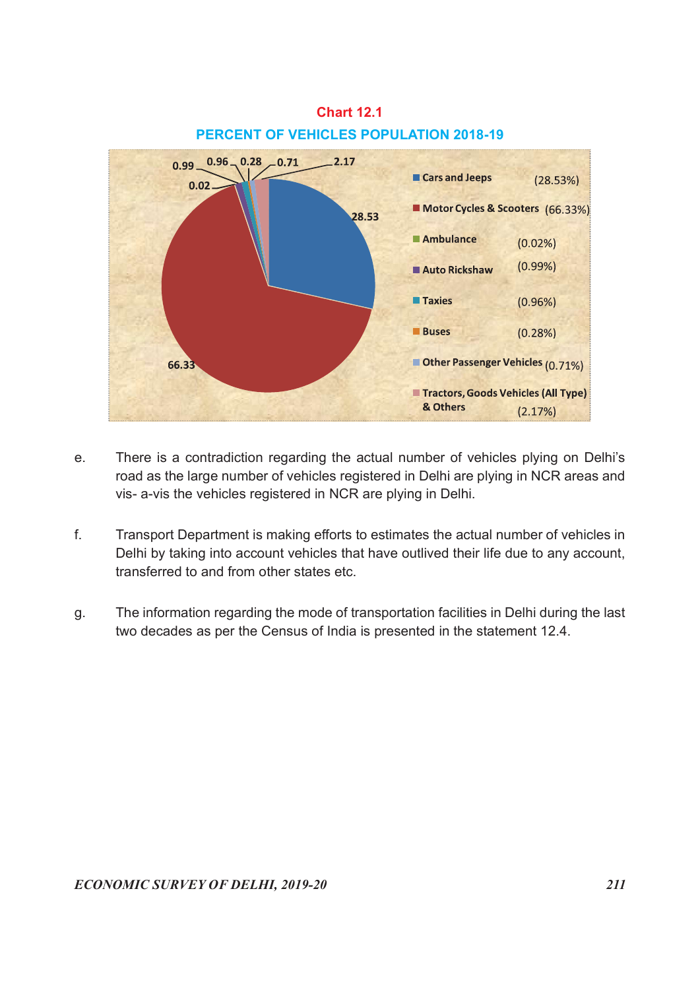# Chart 12.1 PERCENT OF VEHICLES POPULATION 2018-19



- e. There is a contradiction regarding the actual number of vehicles plying on Delhi's road as the large number of vehicles registered in Delhi are plying in NCR areas and vis- a-vis the vehicles registered in NCR are plying in Delhi.
- f. Transport Department is making efforts to estimates the actual number of vehicles in Delhi by taking into account vehicles that have outlived their life due to any account, transferred to and from other states etc.
- g. The information regarding the mode of transportation facilities in Delhi during the last two decades as per the Census of India is presented in the statement 12.4.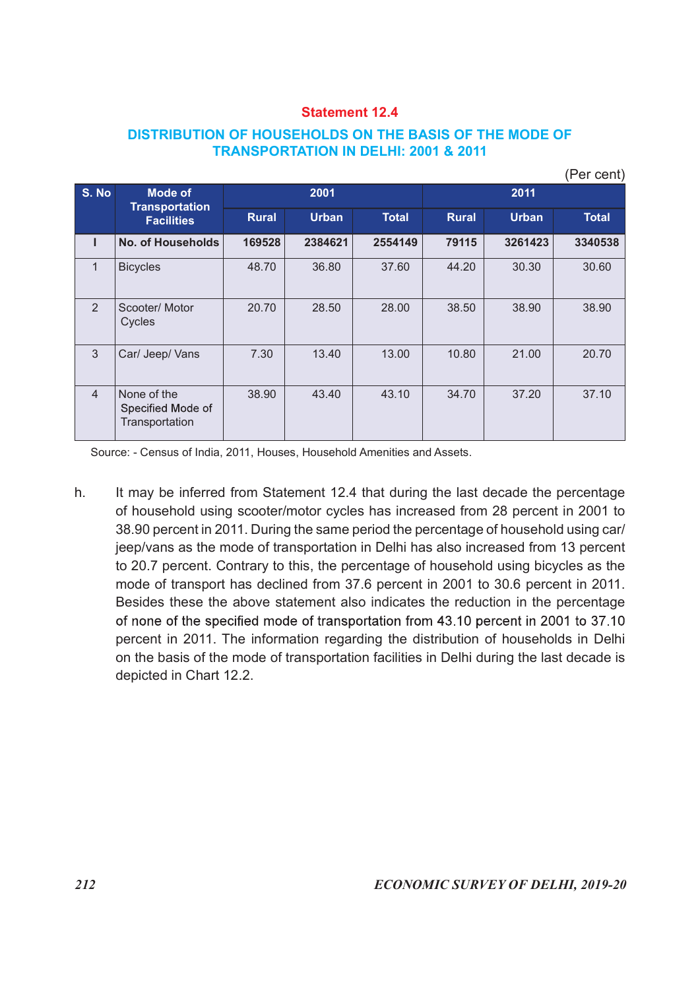### DISTRIBUTION OF HOUSEHOLDS ON THE BASIS OF THE MODE OF TRANSPORTATION IN DELHI: 2001 & 2011

| S. No          | <b>DISTRIBUTION OF HOUSEHOLDS ON THE BASIS OF THE MODE OF</b><br><b>Mode of</b> |              | <b>Statement 12.4</b><br>2001 | <b>TRANSPORTATION IN DELHI: 2001 &amp; 2011</b> |              | 2011         | (Per cent)   |
|----------------|---------------------------------------------------------------------------------|--------------|-------------------------------|-------------------------------------------------|--------------|--------------|--------------|
|                | <b>Transportation</b>                                                           | <b>Rural</b> | <b>Urban</b>                  | <b>Total</b>                                    | <b>Rural</b> | <b>Urban</b> | <b>Total</b> |
|                | <b>Facilities</b>                                                               |              |                               |                                                 |              |              |              |
| $\mathbf{I}$   | No. of Households                                                               | 169528       | 2384621                       | 2554149                                         | 79115        | 3261423      | 3340538      |
| $\mathbf{1}$   | <b>Bicycles</b>                                                                 | 48.70        | 36.80                         | 37.60                                           | 44.20        | 30.30        | 30.60        |
| 2              | Scooter/ Motor<br>Cycles                                                        | 20.70        | 28.50                         | 28.00                                           | 38.50        | 38.90        | 38.90        |
| 3              | Car/ Jeep/ Vans                                                                 | 7.30         | 13.40                         | 13.00                                           | 10.80        | 21.00        | 20.70        |
| $\overline{4}$ | None of the<br>Specified Mode of<br>Transportation                              | 38.90        | 43.40                         | 43.10                                           | 34.70        | 37.20        | 37.10        |
|                |                                                                                 |              |                               |                                                 |              |              |              |

h. It may be inferred from Statement 12.4 that during the last decade the percentage of household using scooter/motor cycles has increased from 28 percent in 2001 to 38.90 percent in 2011. During the same period the percentage of household using car/ jeep/vans as the mode of transportation in Delhi has also increased from 13 percent to 20.7 percent. Contrary to this, the percentage of household using bicycles as the mode of transport has declined from 37.6 percent in 2001 to 30.6 percent in 2011. Besides these the above statement also indicates the reduction in the percentage of none of the specified mode of transportation from 43.10 percent in 2001 to 37.10 percent in 2011. The information regarding the distribution of households in Delhi on the basis of the mode of transportation facilities in Delhi during the last decade is depicted in Chart 12.2.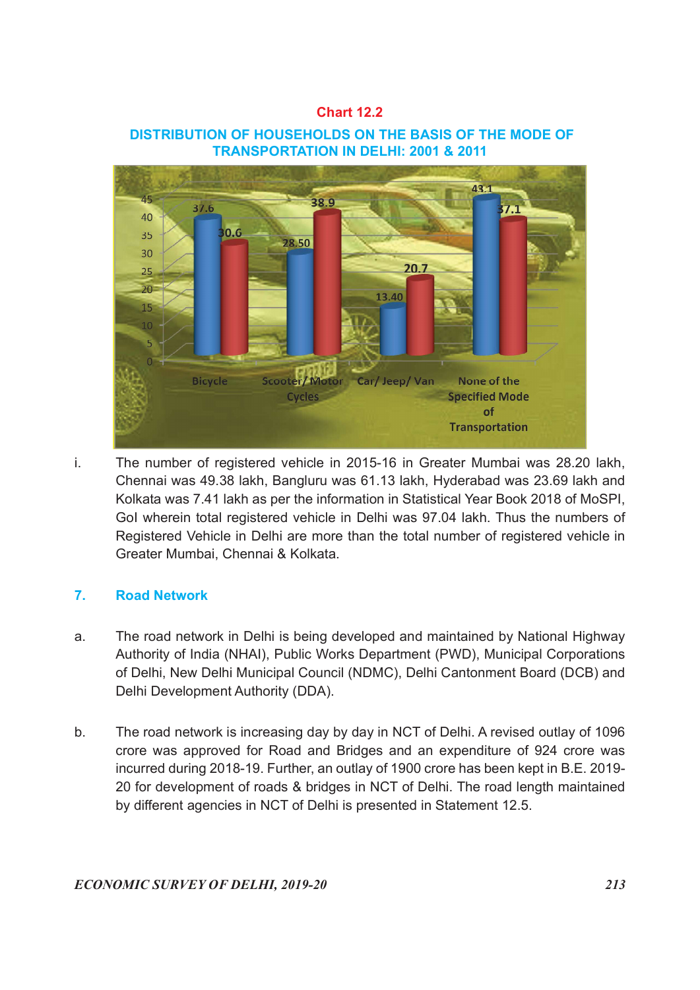#### Chart 12.2

#### DISTRIBUTION OF HOUSEHOLDS ON THE BASIS OF THE MODE OF TRANSPORTATION IN DELHI: 2001 & 2011



i. The number of registered vehicle in 2015-16 in Greater Mumbai was 28.20 lakh, Chennai was 49.38 lakh, Bangluru was 61.13 lakh, Hyderabad was 23.69 lakh and Kolkata was 7.41 lakh as per the information in Statistical Year Book 2018 of MoSPI, GoI wherein total registered vehicle in Delhi was 97.04 lakh. Thus the numbers of Registered Vehicle in Delhi are more than the total number of registered vehicle in Greater Mumbai, Chennai & Kolkata.

# 7. Road Network

- a. The road network in Delhi is being developed and maintained by National Highway Authority of India (NHAI), Public Works Department (PWD), Municipal Corporations of Delhi, New Delhi Municipal Council (NDMC), Delhi Cantonment Board (DCB) and Delhi Development Authority (DDA).
- b. The road network is increasing day by day in NCT of Delhi. A revised outlay of 1096 crore was approved for Road and Bridges and an expenditure of 924 crore was incurred during 2018-19. Further, an outlay of 1900 crore has been kept in B.E. 2019- 20 for development of roads & bridges in NCT of Delhi. The road length maintained by different agencies in NCT of Delhi is presented in Statement 12.5.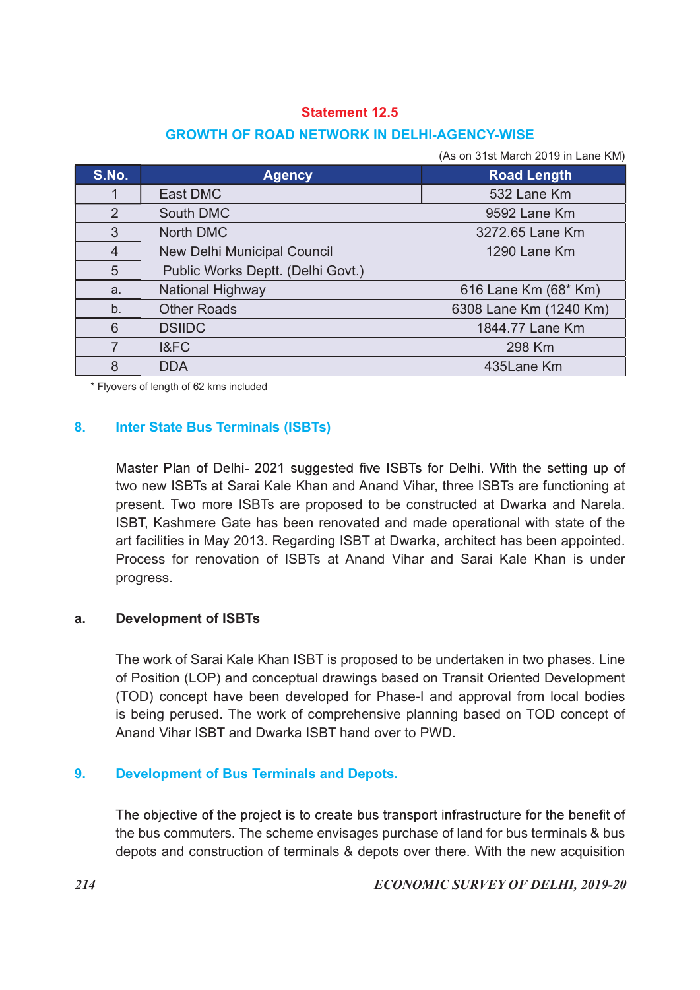# GROWTH OF ROAD NETWORK IN DELHI-AGENCY-WISE

|                | <b>Statement 12.5</b>                              |                                    |
|----------------|----------------------------------------------------|------------------------------------|
|                | <b>GROWTH OF ROAD NETWORK IN DELHI-AGENCY-WISE</b> |                                    |
|                |                                                    |                                    |
|                |                                                    | (As on 31st March 2019 in Lane KM) |
| S.No.          | <b>Agency</b>                                      | <b>Road Length</b>                 |
| $\mathbf{1}$   | East DMC                                           | 532 Lane Km                        |
| $\overline{2}$ | South DMC                                          | 9592 Lane Km                       |
| 3              | North DMC                                          | 3272.65 Lane Km                    |
| $\overline{4}$ | New Delhi Municipal Council                        | 1290 Lane Km                       |
| 5              | Public Works Deptt. (Delhi Govt.)                  |                                    |
| a.             | National Highway                                   | 616 Lane Km (68* Km)               |
| b.             | <b>Other Roads</b>                                 | 6308 Lane Km (1240 Km)             |
| 6              | <b>DSIIDC</b>                                      | 1844.77 Lane Km                    |
| $\overline{7}$ | I&FC                                               | 298 Km                             |
|                |                                                    |                                    |
|                |                                                    |                                    |

# 8. Inter State Bus Terminals (ISBTs)

Master Plan of Delhi- 2021 suggested five ISBTs for Delhi. With the setting up of two new ISBTs at Sarai Kale Khan and Anand Vihar, three ISBTs are functioning at present. Two more ISBTs are proposed to be constructed at Dwarka and Narela. ISBT, Kashmere Gate has been renovated and made operational with state of the art facilities in May 2013. Regarding ISBT at Dwarka, architect has been appointed. Process for renovation of ISBTs at Anand Vihar and Sarai Kale Khan is under progress.

#### a. Development of ISBTs

 The work of Sarai Kale Khan ISBT is proposed to be undertaken in two phases. Line of Position (LOP) and conceptual drawings based on Transit Oriented Development (TOD) concept have been developed for Phase-I and approval from local bodies is being perused. The work of comprehensive planning based on TOD concept of Anand Vihar ISBT and Dwarka ISBT hand over to PWD.

# 9. Development of Bus Terminals and Depots.

The objective of the project is to create bus transport infrastructure for the benefit of the bus commuters. The scheme envisages purchase of land for bus terminals & bus depots and construction of terminals & depots over there. With the new acquisition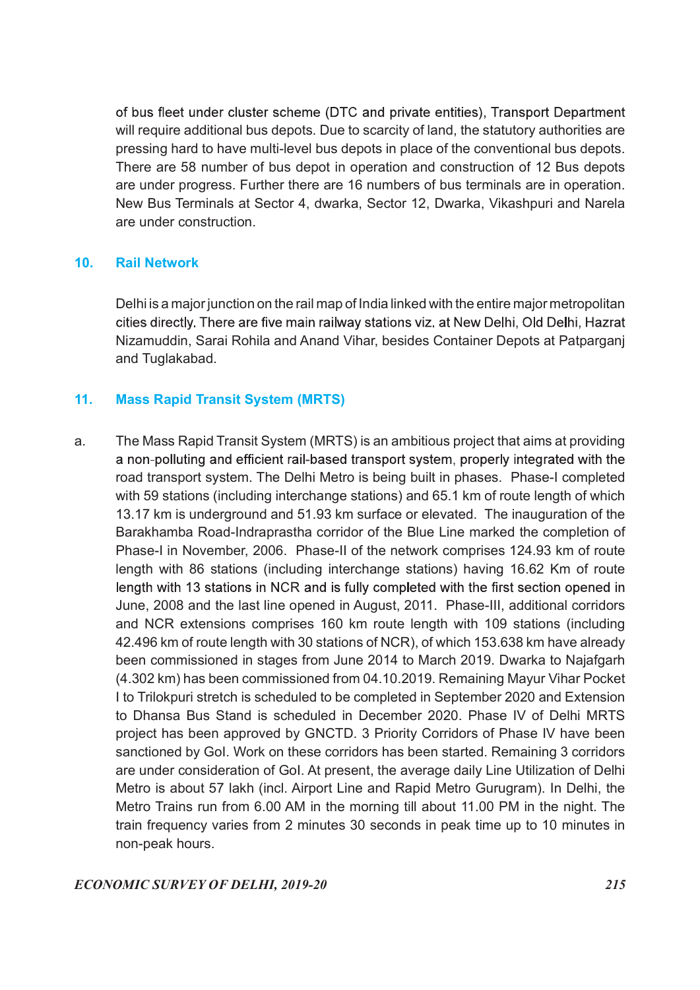of bus fleet under cluster scheme (DTC and private entities), Transport Department will require additional bus depots. Due to scarcity of land, the statutory authorities are pressing hard to have multi-level bus depots in place of the conventional bus depots. There are 58 number of bus depot in operation and construction of 12 Bus depots are under progress. Further there are 16 numbers of bus terminals are in operation. New Bus Terminals at Sector 4, dwarka, Sector 12, Dwarka, Vikashpuri and Narela are under construction.

# 10. Rail Network

 Delhi is a major junction on the rail map of India linked with the entire major metropolitan cities directly. There are five main railway stations viz. at New Delhi, Old Delhi, Hazrat Nizamuddin, Sarai Rohila and Anand Vihar, besides Container Depots at Patparganj and Tuglakabad.

# 11. Mass Rapid Transit System (MRTS)

a. The Mass Rapid Transit System (MRTS) is an ambitious project that aims at providing a non-polluting and efficient rail-based transport system, properly integrated with the road transport system. The Delhi Metro is being built in phases. Phase-I completed with 59 stations (including interchange stations) and 65.1 km of route length of which 13.17 km is underground and 51.93 km surface or elevated. The inauguration of the Barakhamba Road-Indraprastha corridor of the Blue Line marked the completion of Phase-I in November, 2006. Phase-II of the network comprises 124.93 km of route length with 86 stations (including interchange stations) having 16.62 Km of route length with 13 stations in NCR and is fully completed with the first section opened in June, 2008 and the last line opened in August, 2011. Phase-III, additional corridors and NCR extensions comprises 160 km route length with 109 stations (including 42.496 km of route length with 30 stations of NCR), of which 153.638 km have already been commissioned in stages from June 2014 to March 2019. Dwarka to Najafgarh (4.302 km) has been commissioned from 04.10.2019. Remaining Mayur Vihar Pocket I to Trilokpuri stretch is scheduled to be completed in September 2020 and Extension to Dhansa Bus Stand is scheduled in December 2020. Phase IV of Delhi MRTS project has been approved by GNCTD. 3 Priority Corridors of Phase IV have been sanctioned by GoI. Work on these corridors has been started. Remaining 3 corridors are under consideration of GoI. At present, the average daily Line Utilization of Delhi Metro is about 57 lakh (incl. Airport Line and Rapid Metro Gurugram). In Delhi, the Metro Trains run from 6.00 AM in the morning till about 11.00 PM in the night. The train frequency varies from 2 minutes 30 seconds in peak time up to 10 minutes in non-peak hours.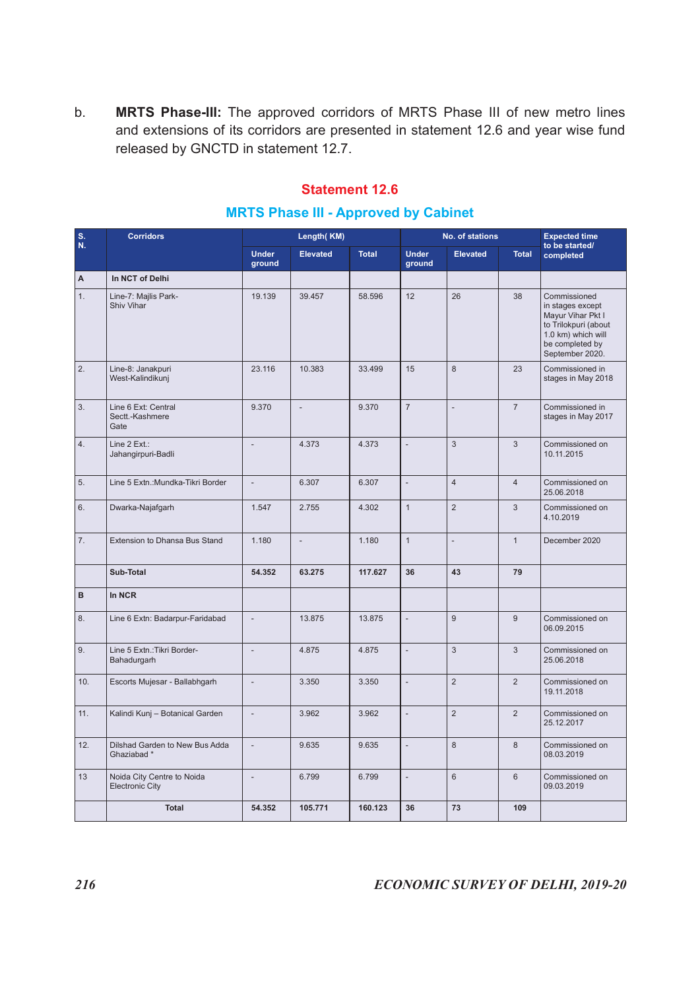# Statement 12.6

#### MRTS Phase III - Approved by Cabinet

| b.               | MRTS Phase-III: The approved corridors of MRTS Phase III of new metro lines<br>and extensions of its corridors are presented in statement 12.6 and year wise fund<br>released by GNCTD in statement 12.7. |                          | <b>MRTS Phase III - Approved by Cabinet</b> | <b>Statement 12.6</b> |                        |                          |                |                                                                                                                                           |
|------------------|-----------------------------------------------------------------------------------------------------------------------------------------------------------------------------------------------------------|--------------------------|---------------------------------------------|-----------------------|------------------------|--------------------------|----------------|-------------------------------------------------------------------------------------------------------------------------------------------|
| $S$ .<br>N.      | <b>Corridors</b>                                                                                                                                                                                          |                          | Length(KM)                                  |                       |                        | No. of stations          |                | <b>Expected time</b><br>to be started/                                                                                                    |
|                  |                                                                                                                                                                                                           | <b>Under</b><br>ground   | <b>Elevated</b>                             | <b>Total</b>          | <b>Under</b><br>ground | <b>Elevated</b>          | <b>Total</b>   | completed                                                                                                                                 |
| A.               | In NCT of Delhi                                                                                                                                                                                           |                          |                                             |                       |                        |                          |                |                                                                                                                                           |
| 1.               | Line-7: Majlis Park-<br>Shiv Vihar                                                                                                                                                                        | 19.139                   | 39.457                                      | 58.596                | 12                     | 26                       | 38             | Commissioned<br>in stages except<br>Mayur Vihar Pkt I<br>to Trilokpuri (about<br>1.0 km) which will<br>be completed by<br>September 2020. |
| $\overline{2}$ . | Line-8: Janakpuri<br>West-Kalindikunj                                                                                                                                                                     | 23.116                   | 10.383                                      | 33.499                | 15                     | 8                        | 23             | Commissioned in<br>stages in May 2018                                                                                                     |
| 3.               | Line 6 Ext: Central<br>Sectt.-Kashmere<br>Gate                                                                                                                                                            | 9.370                    | $\sim$                                      | 9.370                 | $\overline{7}$         |                          | $\overline{7}$ | Commissioned in<br>stages in May 2017                                                                                                     |
| 4.               | Line $2$ Ext.:<br>Jahangirpuri-Badli                                                                                                                                                                      | $\sim$                   | 4.373                                       | 4.373                 |                        | 3                        | $\mathbf{3}$   | Commissioned on<br>10.11.2015                                                                                                             |
| 5.               | Line 5 Extn.: Mundka-Tikri Border                                                                                                                                                                         | $\sim$                   | 6.307                                       | 6.307                 |                        | $\overline{4}$           | $\overline{4}$ | Commissioned on<br>25.06.2018                                                                                                             |
| 6.               | Dwarka-Najafgarh                                                                                                                                                                                          | 1.547                    | 2.755                                       | 4.302                 | $\mathbf{1}$           | $\overline{2}$           | $\mathbf{3}$   | Commissioned on<br>4.10.2019                                                                                                              |
| 7.               | Extension to Dhansa Bus Stand                                                                                                                                                                             | 1.180                    | $\sim$                                      | 1.180                 | $\mathbf{1}$           | $\overline{\phantom{a}}$ | $\overline{1}$ | December 2020                                                                                                                             |
|                  | Sub-Total                                                                                                                                                                                                 | 54.352                   | 63.275                                      | 117.627               | 36                     | 43                       | 79             |                                                                                                                                           |
| B                | In NCR                                                                                                                                                                                                    |                          |                                             |                       |                        |                          |                |                                                                                                                                           |
| 8.               | Line 6 Extn: Badarpur-Faridabad                                                                                                                                                                           | $\overline{\phantom{a}}$ | 13.875                                      | 13.875                |                        | 9                        | 9              | Commissioned on<br>06.09.2015                                                                                                             |
| 9.               | Line 5 Extn.: Tikri Border-<br>Bahadurgarh                                                                                                                                                                | $\sim$                   | 4.875                                       | 4.875                 |                        | $\mathbf{3}$             | $\mathbf{3}$   | Commissioned on<br>25.06.2018                                                                                                             |
| 10.              | Escorts Mujesar - Ballabhgarh                                                                                                                                                                             | $\sim$                   | 3.350                                       | 3.350                 |                        | $\overline{2}$           | $\overline{2}$ | Commissioned on<br>19.11.2018                                                                                                             |
| 11.              | Kalindi Kunj - Botanical Garden                                                                                                                                                                           | $\sim$                   | 3.962                                       | 3.962                 |                        | $\overline{2}$           | $\overline{2}$ | Commissioned on<br>25.12.2017                                                                                                             |
| 12.              | Dilshad Garden to New Bus Adda<br>Ghaziabad*                                                                                                                                                              | $\overline{\phantom{a}}$ | 9.635                                       | 9.635                 |                        | 8                        | 8              | Commissioned on<br>08.03.2019                                                                                                             |
| 13               | Noida City Centre to Noida<br><b>Electronic City</b>                                                                                                                                                      | $\overline{\phantom{a}}$ | 6.799                                       | 6.799                 |                        | $6\overline{6}$          | $6\phantom{1}$ | Commissioned on<br>09.03.2019                                                                                                             |
|                  | Total                                                                                                                                                                                                     | 54.352                   | 105.771                                     | 160.123               | 36                     | 73                       | 109            |                                                                                                                                           |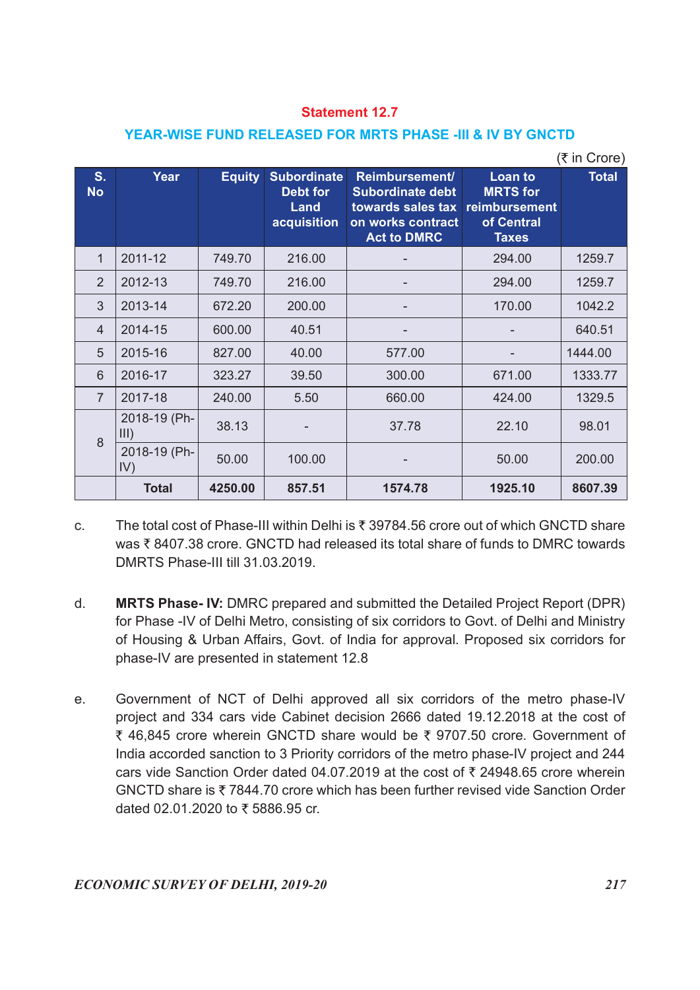#### YEAR-WISE FUND RELEASED FOR MRTS PHASE -III & IV BY GNCTD

|                  |                      |               |                                        | <b>Statement 12.7</b>                                                 |                            |              |
|------------------|----------------------|---------------|----------------------------------------|-----------------------------------------------------------------------|----------------------------|--------------|
|                  |                      |               |                                        | YEAR-WISE FUND RELEASED FOR MRTS PHASE -III & IV BY GNCTD             |                            |              |
|                  |                      |               |                                        |                                                                       |                            | (₹ in Crore) |
| S.<br><b>No</b>  | Year                 | <b>Equity</b> | <b>Subordinate</b><br>Debt for<br>Land | Reimbursement/<br>Subordinate debt<br>towards sales tax reimbursement | Loan to<br><b>MRTS</b> for | <b>Total</b> |
|                  |                      |               |                                        | acquisition on works contract<br><b>Act to DMRC</b>                   | of Central<br><b>Taxes</b> |              |
| $\mathbf{1}$     | 2011-12              | 749.70        | 216.00                                 |                                                                       | 294.00                     | 1259.7       |
| $\overline{2}$   | 2012-13              | 749.70        | 216.00                                 | ٠                                                                     | 294.00                     | 1259.7       |
| $\mathfrak{S}$   | 2013-14              | 672.20        | 200.00                                 |                                                                       | 170.00                     | 1042.2       |
| 4                | 2014-15              | 600.00        | 40.51                                  | $\overline{\phantom{a}}$                                              | $\overline{\phantom{a}}$   | 640.51       |
| 5                | 2015-16              | 827.00        | 40.00                                  | 577.00                                                                | $\overline{\phantom{a}}$   | 1444.00      |
| $6\,$            | 2016-17              | 323.27        | 39.50                                  | 300.00                                                                | 671.00                     | 1333.77      |
| $\overline{7}$   | 2017-18              | 240.00        | 5.50                                   | 660.00                                                                | 424.00                     | 1329.5       |
| $\boldsymbol{8}$ | 2018-19 (Ph-<br>III) | 38.13         |                                        | 37.78                                                                 | 22.10                      | 98.01        |
|                  | 2018-19 (Ph-<br>IV)  | 50.00         | 100.00                                 |                                                                       | 50.00                      | 200.00       |
|                  | <b>Total</b>         | 4250.00       | 857.51                                 | 1574.78                                                               | 1925.10                    | 8607.39      |

c. The total cost of Phase-III within Delhi is  $\bar{\tau}$  39784.56 crore out of which GNCTD share was  $\bar{\tau}$  8407.38 crore. GNCTD had released its total share of funds to DMRC towards DMRTS Phase-III till 31.03.2019.

- d. MRTS Phase- IV: DMRC prepared and submitted the Detailed Project Report (DPR) for Phase -IV of Delhi Metro, consisting of six corridors to Govt. of Delhi and Ministry of Housing & Urban Affairs, Govt. of India for approval. Proposed six corridors for phase-IV are presented in statement 12.8
- e. Government of NCT of Delhi approved all six corridors of the metro phase-IV project and 334 cars vide Cabinet decision 2666 dated 19.12.2018 at the cost of ₹ 46,845 crore wherein GNCTD share would be ₹ 9707.50 crore. Government of India accorded sanction to 3 Priority corridors of the metro phase-IV project and 244 cars vide Sanction Order dated 04.07.2019 at the cost of  $\bar{\tau}$  24948.65 crore wherein GNCTD share is 7844.70 crore which has been further revised vide Sanction Order dated 02.01.2020 to  $\bar{x}$  5886.95 cr.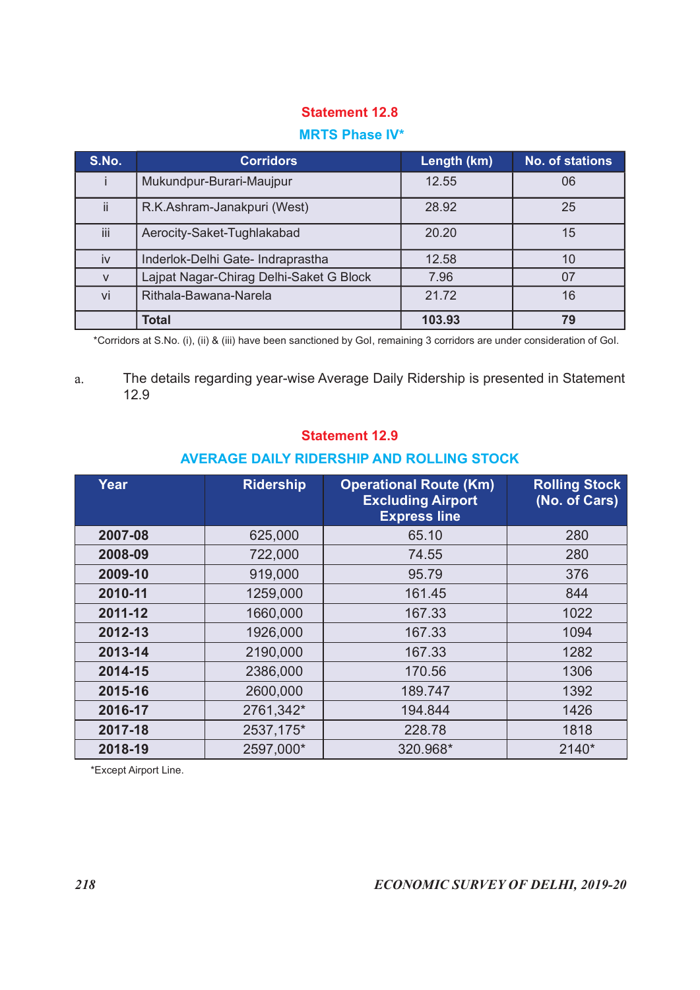#### MRTS Phase IV\*

| <b>Statement 12.8</b><br><b>MRTS Phase IV*</b><br>S.No.<br><b>Corridors</b><br><b>No. of stations</b><br>Length (km)<br>Mukundpur-Burari-Maujpur<br>12.55<br>06<br>j.<br>ii<br>R.K.Ashram-Janakpuri (West)<br>25<br>28.92<br>iii<br>Aerocity-Saket-Tughlakabad<br>20.20<br>15<br>Inderlok-Delhi Gate- Indraprastha<br>12.58<br>10<br>iv<br>Lajpat Nagar-Chirag Delhi-Saket G Block<br>7.96<br>07<br>${\sf V}$<br>Rithala-Bawana-Narela<br>21.72<br>16<br>vi<br><b>Total</b><br>79<br>103.93 |         |         |       |                                       |
|---------------------------------------------------------------------------------------------------------------------------------------------------------------------------------------------------------------------------------------------------------------------------------------------------------------------------------------------------------------------------------------------------------------------------------------------------------------------------------------------|---------|---------|-------|---------------------------------------|
|                                                                                                                                                                                                                                                                                                                                                                                                                                                                                             |         |         |       |                                       |
|                                                                                                                                                                                                                                                                                                                                                                                                                                                                                             |         |         |       |                                       |
|                                                                                                                                                                                                                                                                                                                                                                                                                                                                                             |         |         |       |                                       |
|                                                                                                                                                                                                                                                                                                                                                                                                                                                                                             |         |         |       |                                       |
|                                                                                                                                                                                                                                                                                                                                                                                                                                                                                             |         |         |       |                                       |
|                                                                                                                                                                                                                                                                                                                                                                                                                                                                                             |         |         |       |                                       |
|                                                                                                                                                                                                                                                                                                                                                                                                                                                                                             |         |         |       |                                       |
|                                                                                                                                                                                                                                                                                                                                                                                                                                                                                             |         |         |       |                                       |
|                                                                                                                                                                                                                                                                                                                                                                                                                                                                                             |         |         |       |                                       |
|                                                                                                                                                                                                                                                                                                                                                                                                                                                                                             |         |         |       |                                       |
|                                                                                                                                                                                                                                                                                                                                                                                                                                                                                             |         |         |       |                                       |
|                                                                                                                                                                                                                                                                                                                                                                                                                                                                                             |         |         |       |                                       |
|                                                                                                                                                                                                                                                                                                                                                                                                                                                                                             |         |         |       |                                       |
|                                                                                                                                                                                                                                                                                                                                                                                                                                                                                             |         |         |       |                                       |
|                                                                                                                                                                                                                                                                                                                                                                                                                                                                                             |         |         |       |                                       |
|                                                                                                                                                                                                                                                                                                                                                                                                                                                                                             |         |         |       |                                       |
|                                                                                                                                                                                                                                                                                                                                                                                                                                                                                             |         |         |       |                                       |
|                                                                                                                                                                                                                                                                                                                                                                                                                                                                                             |         |         |       |                                       |
|                                                                                                                                                                                                                                                                                                                                                                                                                                                                                             |         |         |       |                                       |
| The details regarding year-wise Average Daily Ridership is presented in Statement<br>a.<br>12.9                                                                                                                                                                                                                                                                                                                                                                                             |         |         |       |                                       |
| <b>Statement 12.9</b>                                                                                                                                                                                                                                                                                                                                                                                                                                                                       |         |         |       |                                       |
| <b>AVERAGE DAILY RIDERSHIP AND ROLLING STOCK</b>                                                                                                                                                                                                                                                                                                                                                                                                                                            | Year    |         |       | <b>Rolling Stock</b><br>(No. of Cars) |
| <b>Operational Route (Km)</b><br><b>Ridership</b><br><b>Excluding Airport</b><br><b>Express line</b>                                                                                                                                                                                                                                                                                                                                                                                        |         |         | 65.10 | 280                                   |
| 2007-08<br>625,000                                                                                                                                                                                                                                                                                                                                                                                                                                                                          | 2008-09 | 722,000 | 74.55 | 280                                   |

#### Statement 12.9

#### AVERAGE DAILY RIDERSHIP AND ROLLING STOCK

| Aerocity-Saket-Tughlakabad<br>iii<br>Inderlok-Delhi Gate- Indraprastha<br>iv<br>Lajpat Nagar-Chirag Delhi-Saket G Block<br>$\mathsf{V}$<br>Rithala-Bawana-Narela<br>vi<br><b>Total</b><br>*Corridors at S.No. (i), (ii) & (iii) have been sanctioned by Gol, remaining 3 corridors are under consideration of Gol.<br>The details regarding year-wise Average Daily Ridership is presented in Statement<br>a.<br>12.9<br><b>Statement 12.9</b><br><b>AVERAGE DAILY RIDERSHIP AND ROLLING STOCK</b><br><b>Ridership</b><br>Year<br>2007-08<br>625,000<br>722,000<br>2008-09<br>2009-10<br>919,000<br>2010-11<br>1259,000<br>2011-12<br>1660,000 |         | 20.20     | 15                                              |                      |
|------------------------------------------------------------------------------------------------------------------------------------------------------------------------------------------------------------------------------------------------------------------------------------------------------------------------------------------------------------------------------------------------------------------------------------------------------------------------------------------------------------------------------------------------------------------------------------------------------------------------------------------------|---------|-----------|-------------------------------------------------|----------------------|
|                                                                                                                                                                                                                                                                                                                                                                                                                                                                                                                                                                                                                                                |         |           | 12.58                                           | 10                   |
|                                                                                                                                                                                                                                                                                                                                                                                                                                                                                                                                                                                                                                                |         |           | 7.96                                            | 07                   |
|                                                                                                                                                                                                                                                                                                                                                                                                                                                                                                                                                                                                                                                |         |           | 21.72                                           | 16                   |
|                                                                                                                                                                                                                                                                                                                                                                                                                                                                                                                                                                                                                                                |         |           | 103.93                                          | 79                   |
|                                                                                                                                                                                                                                                                                                                                                                                                                                                                                                                                                                                                                                                |         |           |                                                 |                      |
|                                                                                                                                                                                                                                                                                                                                                                                                                                                                                                                                                                                                                                                |         |           |                                                 |                      |
|                                                                                                                                                                                                                                                                                                                                                                                                                                                                                                                                                                                                                                                |         |           | <b>Operational Route (Km)</b>                   | <b>Rolling Stock</b> |
|                                                                                                                                                                                                                                                                                                                                                                                                                                                                                                                                                                                                                                                |         |           | <b>Excluding Airport</b><br><b>Express line</b> | (No. of Cars)        |
|                                                                                                                                                                                                                                                                                                                                                                                                                                                                                                                                                                                                                                                |         |           | 65.10                                           | 280                  |
|                                                                                                                                                                                                                                                                                                                                                                                                                                                                                                                                                                                                                                                |         |           | 74.55                                           | 280                  |
|                                                                                                                                                                                                                                                                                                                                                                                                                                                                                                                                                                                                                                                |         |           | 95.79                                           | 376                  |
|                                                                                                                                                                                                                                                                                                                                                                                                                                                                                                                                                                                                                                                |         |           | 161.45                                          | 844                  |
|                                                                                                                                                                                                                                                                                                                                                                                                                                                                                                                                                                                                                                                |         |           | 167.33                                          | 1022                 |
|                                                                                                                                                                                                                                                                                                                                                                                                                                                                                                                                                                                                                                                | 2012-13 | 1926,000  | 167.33                                          | 1094                 |
|                                                                                                                                                                                                                                                                                                                                                                                                                                                                                                                                                                                                                                                |         |           |                                                 |                      |
|                                                                                                                                                                                                                                                                                                                                                                                                                                                                                                                                                                                                                                                | 2013-14 | 2190,000  | 167.33                                          | 1282                 |
|                                                                                                                                                                                                                                                                                                                                                                                                                                                                                                                                                                                                                                                | 2014-15 | 2386,000  | 170.56                                          | 1306                 |
|                                                                                                                                                                                                                                                                                                                                                                                                                                                                                                                                                                                                                                                | 2015-16 | 2600,000  | 189.747                                         | 1392                 |
|                                                                                                                                                                                                                                                                                                                                                                                                                                                                                                                                                                                                                                                | 2016-17 | 2761,342* | 194.844                                         | 1426                 |
|                                                                                                                                                                                                                                                                                                                                                                                                                                                                                                                                                                                                                                                | 2017-18 | 2537,175* | 228.78                                          | 1818                 |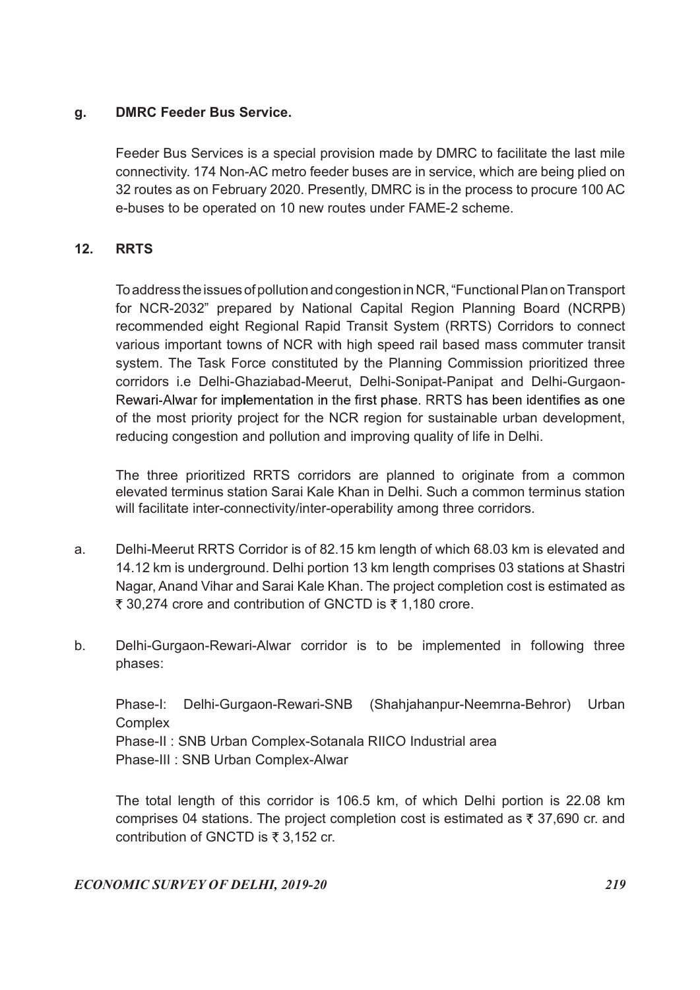# g. DMRC Feeder Bus Service.

 Feeder Bus Services is a special provision made by DMRC to facilitate the last mile connectivity. 174 Non-AC metro feeder buses are in service, which are being plied on 32 routes as on February 2020. Presently, DMRC is in the process to procure 100 AC e-buses to be operated on 10 new routes under FAME-2 scheme.

# 12. RRTS

 To address the issues of pollution and congestion in NCR, "Functional Plan on Transport for NCR-2032" prepared by National Capital Region Planning Board (NCRPB) recommended eight Regional Rapid Transit System (RRTS) Corridors to connect various important towns of NCR with high speed rail based mass commuter transit system. The Task Force constituted by the Planning Commission prioritized three corridors i.e Delhi-Ghaziabad-Meerut, Delhi-Sonipat-Panipat and Delhi-Gurgaon-Rewari-Alwar for implementation in the first phase. RRTS has been identifies as one of the most priority project for the NCR region for sustainable urban development, reducing congestion and pollution and improving quality of life in Delhi.

 The three prioritized RRTS corridors are planned to originate from a common elevated terminus station Sarai Kale Khan in Delhi. Such a common terminus station will facilitate inter-connectivity/inter-operability among three corridors.

- a. Delhi-Meerut RRTS Corridor is of 82.15 km length of which 68.03 km is elevated and 14.12 km is underground. Delhi portion 13 km length comprises 03 stations at Shastri Nagar, Anand Vihar and Sarai Kale Khan. The project completion cost is estimated as ₹ 30,274 crore and contribution of GNCTD is ₹ 1,180 crore.
- b. Delhi-Gurgaon-Rewari-Alwar corridor is to be implemented in following three phases:

 Phase-I: Delhi-Gurgaon-Rewari-SNB (Shahjahanpur-Neemrna-Behror) Urban Complex Phase-II : SNB Urban Complex-Sotanala RIICO Industrial area Phase-III : SNB Urban Complex-Alwar

 The total length of this corridor is 106.5 km, of which Delhi portion is 22.08 km comprises 04 stations. The project completion cost is estimated as  $\bar{\tau}$  37,690 cr. and contribution of GNCTD is  $\overline{z}$  3,152 cr.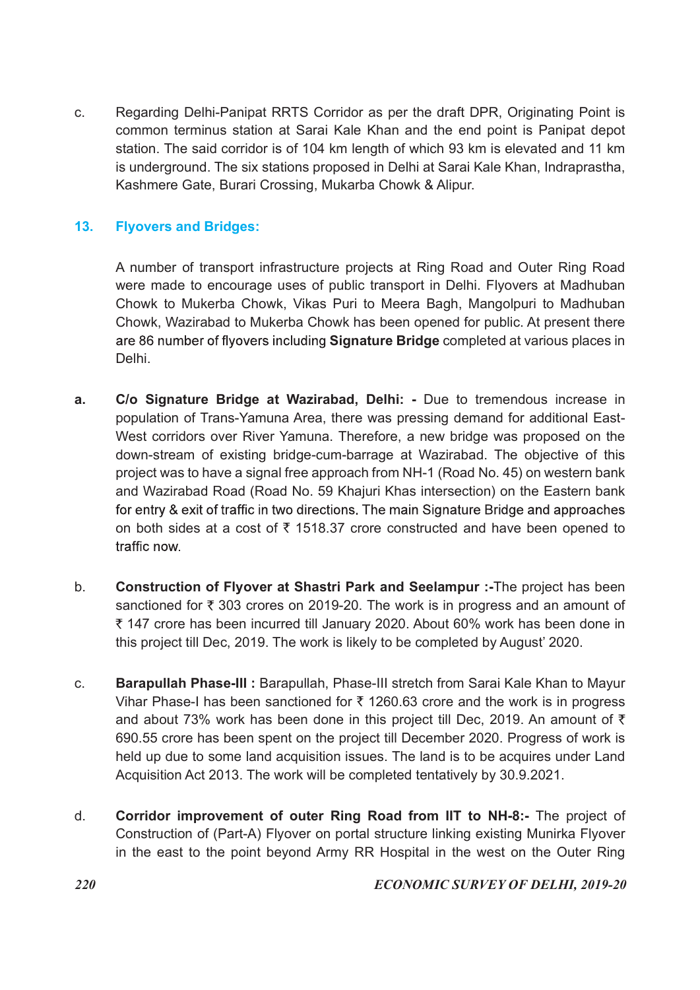c. Regarding Delhi-Panipat RRTS Corridor as per the draft DPR, Originating Point is common terminus station at Sarai Kale Khan and the end point is Panipat depot station. The said corridor is of 104 km length of which 93 km is elevated and 11 km is underground. The six stations proposed in Delhi at Sarai Kale Khan, Indraprastha, Kashmere Gate, Burari Crossing, Mukarba Chowk & Alipur.

# 13. Flyovers and Bridges:

 A number of transport infrastructure projects at Ring Road and Outer Ring Road were made to encourage uses of public transport in Delhi. Flyovers at Madhuban Chowk to Mukerba Chowk, Vikas Puri to Meera Bagh, Mangolpuri to Madhuban Chowk, Wazirabad to Mukerba Chowk has been opened for public. At present there are 86 number of flyovers including Signature Bridge completed at various places in Delhi.

- a. C/o Signature Bridge at Wazirabad, Delhi: Due to tremendous increase in population of Trans-Yamuna Area, there was pressing demand for additional East-West corridors over River Yamuna. Therefore, a new bridge was proposed on the down-stream of existing bridge-cum-barrage at Wazirabad. The objective of this project was to have a signal free approach from NH-1 (Road No. 45) on western bank and Wazirabad Road (Road No. 59 Khajuri Khas intersection) on the Eastern bank for entry & exit of traffic in two directions. The main Signature Bridge and approaches on both sides at a cost of  $\bar{\tau}$  1518.37 crore constructed and have been opened to traffic now.
- b. Construction of Flyover at Shastri Park and Seelampur :-The project has been sanctioned for  $\bar{\tau}$  303 crores on 2019-20. The work is in progress and an amount of 147 crore has been incurred till January 2020. About 60% work has been done in this project till Dec, 2019. The work is likely to be completed by August' 2020.
- c. Barapullah Phase-III : Barapullah, Phase-III stretch from Sarai Kale Khan to Mayur Vihar Phase-I has been sanctioned for  $\bar{\tau}$  1260.63 crore and the work is in progress and about 73% work has been done in this project till Dec, 2019. An amount of  $\bar{\tau}$ 690.55 crore has been spent on the project till December 2020. Progress of work is held up due to some land acquisition issues. The land is to be acquires under Land Acquisition Act 2013. The work will be completed tentatively by 30.9.2021.
- d. Corridor improvement of outer Ring Road from IIT to NH-8:- The project of Construction of (Part-A) Flyover on portal structure linking existing Munirka Flyover in the east to the point beyond Army RR Hospital in the west on the Outer Ring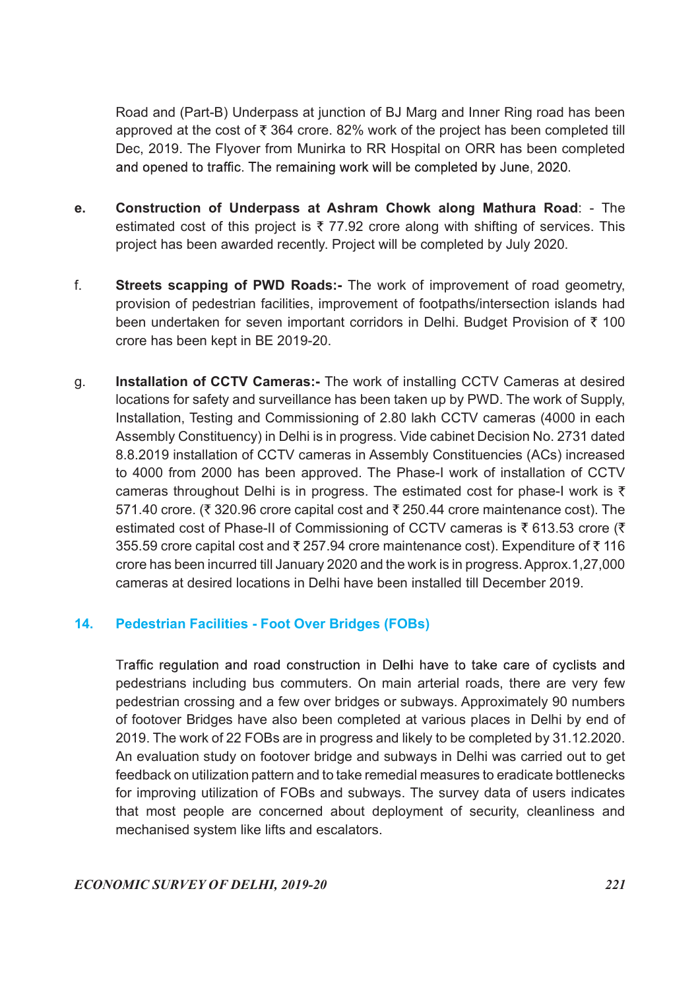Road and (Part-B) Underpass at junction of BJ Marg and Inner Ring road has been approved at the cost of  $\bar{\tau}$  364 crore. 82% work of the project has been completed till Dec, 2019. The Flyover from Munirka to RR Hospital on ORR has been completed and opened to traffic. The remaining work will be completed by June, 2020.

- e. Construction of Underpass at Ashram Chowk along Mathura Road: The estimated cost of this project is  $\overline{\zeta}$  77.92 crore along with shifting of services. This project has been awarded recently. Project will be completed by July 2020.
- f. Streets scapping of PWD Roads:- The work of improvement of road geometry, provision of pedestrian facilities, improvement of footpaths/intersection islands had been undertaken for seven important corridors in Delhi. Budget Provision of  $\bar{\tau}$  100 crore has been kept in BE 2019-20.
- g. Installation of CCTV Cameras:- The work of installing CCTV Cameras at desired locations for safety and surveillance has been taken up by PWD. The work of Supply, Installation, Testing and Commissioning of 2.80 lakh CCTV cameras (4000 in each Assembly Constituency) in Delhi is in progress. Vide cabinet Decision No. 2731 dated 8.8.2019 installation of CCTV cameras in Assembly Constituencies (ACs) increased to 4000 from 2000 has been approved. The Phase-I work of installation of CCTV cameras throughout Delhi is in progress. The estimated cost for phase-I work is  $\bar{\tau}$ 571.40 crore. ( $\overline{\xi}$  320.96 crore capital cost and  $\overline{\xi}$  250.44 crore maintenance cost). The estimated cost of Phase-II of Commissioning of CCTV cameras is  $\bar{\tau}$  613.53 crore ( $\bar{\tau}$ 355.59 crore capital cost and  $\overline{\tau}$  257.94 crore maintenance cost). Expenditure of  $\overline{\tau}$  116 crore has been incurred till January 2020 and the work is in progress. Approx.1,27,000 cameras at desired locations in Delhi have been installed till December 2019.

# 14. Pedestrian Facilities - Foot Over Bridges (FOBs)

Traffic regulation and road construction in Delhi have to take care of cyclists and pedestrians including bus commuters. On main arterial roads, there are very few pedestrian crossing and a few over bridges or subways. Approximately 90 numbers of footover Bridges have also been completed at various places in Delhi by end of 2019. The work of 22 FOBs are in progress and likely to be completed by 31.12.2020. An evaluation study on footover bridge and subways in Delhi was carried out to get feedback on utilization pattern and to take remedial measures to eradicate bottlenecks for improving utilization of FOBs and subways. The survey data of users indicates that most people are concerned about deployment of security, cleanliness and mechanised system like lifts and escalators.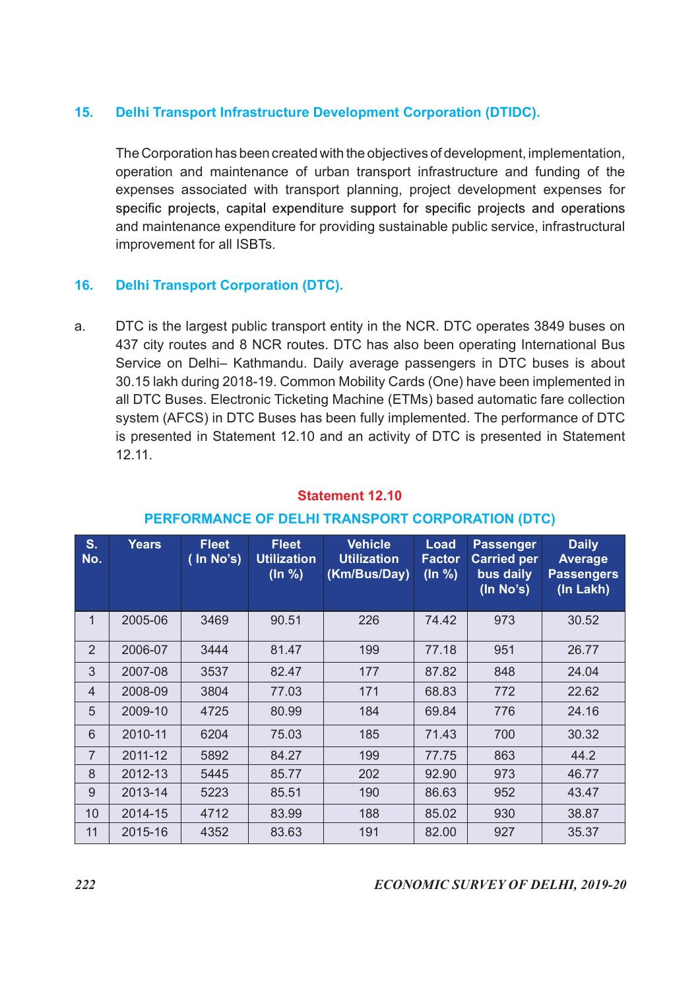# 15. Delhi Transport Infrastructure Development Corporation (DTIDC).

 The Corporation has been created with the objectives of development, implementation, operation and maintenance of urban transport infrastructure and funding of the expenses associated with transport planning, project development expenses for specific projects, capital expenditure support for specific projects and operations and maintenance expenditure for providing sustainable public service, infrastructural improvement for all ISBTs.

# 16. Delhi Transport Corporation (DTC).

a. DTC is the largest public transport entity in the NCR. DTC operates 3849 buses on 437 city routes and 8 NCR routes. DTC has also been operating International Bus Service on Delhi– Kathmandu. Daily average passengers in DTC buses is about 30.15 lakh during 2018-19. Common Mobility Cards (One) have been implemented in all DTC Buses. Electronic Ticketing Machine (ETMs) based automatic fare collection system (AFCS) in DTC Buses has been fully implemented. The performance of DTC is presented in Statement 12.10 and an activity of DTC is presented in Statement 12.11. provement for all ISBTs.<br> **Example 1888**<br>
FC is the largest public transport entity in the NCR. DTC operates 3849 bu<br>
TC is the largest public transport entity in the NCR. DTC operates 3849 bu<br>
TC is the largest public tra

| a.             | 12.11.       |                              |                                               | DTC is the largest public transport entity in the NCR. DTC operates 3849 buses on<br>437 city routes and 8 NCR routes. DTC has also been operating International Bus<br>Service on Delhi- Kathmandu. Daily average passengers in DTC buses is about<br>30.15 lakh during 2018-19. Common Mobility Cards (One) have been implemented in<br>all DTC Buses. Electronic Ticketing Machine (ETMs) based automatic fare collection<br>system (AFCS) in DTC Buses has been fully implemented. The performance of DTC<br>is presented in Statement 12.10 and an activity of DTC is presented in Statement<br><b>Statement 12.10</b> |                                 |                                                                  |                                                                  |  |
|----------------|--------------|------------------------------|-----------------------------------------------|-----------------------------------------------------------------------------------------------------------------------------------------------------------------------------------------------------------------------------------------------------------------------------------------------------------------------------------------------------------------------------------------------------------------------------------------------------------------------------------------------------------------------------------------------------------------------------------------------------------------------------|---------------------------------|------------------------------------------------------------------|------------------------------------------------------------------|--|
|                |              |                              |                                               | PERFORMANCE OF DELHI TRANSPORT CORPORATION (DTC)                                                                                                                                                                                                                                                                                                                                                                                                                                                                                                                                                                            |                                 |                                                                  |                                                                  |  |
| S.<br>No.      | <b>Years</b> | <b>Fleet</b><br>$($ In No's) | <b>Fleet</b><br><b>Utilization</b><br>(ln % ) | <b>Vehicle</b><br><b>Utilization</b><br>(Km/Bus/Day)                                                                                                                                                                                                                                                                                                                                                                                                                                                                                                                                                                        | Load<br><b>Factor</b><br>(ln %) | <b>Passenger</b><br><b>Carried per</b><br>bus daily<br>(In No's) | <b>Daily</b><br><b>Average</b><br><b>Passengers</b><br>(In Lakh) |  |
| $\mathbf{1}$   | 2005-06      | 3469                         | 90.51                                         | 226                                                                                                                                                                                                                                                                                                                                                                                                                                                                                                                                                                                                                         | 74.42                           | 973                                                              | 30.52                                                            |  |
| $\overline{2}$ | 2006-07      | 3444                         | 81.47                                         | 199                                                                                                                                                                                                                                                                                                                                                                                                                                                                                                                                                                                                                         | 77.18                           | 951                                                              | 26.77                                                            |  |
| 3              | 2007-08      | 3537                         | 82.47                                         | 177                                                                                                                                                                                                                                                                                                                                                                                                                                                                                                                                                                                                                         | 87.82                           | 848                                                              | 24.04                                                            |  |
| $\overline{4}$ | 2008-09      | 3804                         | 77.03                                         | 171                                                                                                                                                                                                                                                                                                                                                                                                                                                                                                                                                                                                                         | 68.83                           | 772                                                              | 22.62                                                            |  |
| 5              | 2009-10      | 4725                         | 80.99                                         | 184                                                                                                                                                                                                                                                                                                                                                                                                                                                                                                                                                                                                                         | 69.84                           | 776                                                              | 24.16                                                            |  |
| $6\phantom{1}$ | 2010-11      | 6204                         | 75.03                                         | 185                                                                                                                                                                                                                                                                                                                                                                                                                                                                                                                                                                                                                         | 71.43                           | 700                                                              | 30.32                                                            |  |
| $\overline{7}$ | 2011-12      | 5892                         | 84.27                                         | 199                                                                                                                                                                                                                                                                                                                                                                                                                                                                                                                                                                                                                         | 77.75                           | 863                                                              | 44.2                                                             |  |
| 8              | 2012-13      | 5445                         | 85.77                                         | 202                                                                                                                                                                                                                                                                                                                                                                                                                                                                                                                                                                                                                         | 92.90                           | 973                                                              | 46.77                                                            |  |
| 9              | 2013-14      | 5223                         | 85.51                                         | 190                                                                                                                                                                                                                                                                                                                                                                                                                                                                                                                                                                                                                         | 86.63                           | 952                                                              | 43.47                                                            |  |
| 10             | 2014-15      | 4712                         | 83.99                                         | 188                                                                                                                                                                                                                                                                                                                                                                                                                                                                                                                                                                                                                         | 85.02                           | 930                                                              | 38.87                                                            |  |
| 11             | 2015-16      | 4352                         | 83.63                                         | 191                                                                                                                                                                                                                                                                                                                                                                                                                                                                                                                                                                                                                         | 82.00                           | 927                                                              | 35.37                                                            |  |
| 222            |              |                              |                                               |                                                                                                                                                                                                                                                                                                                                                                                                                                                                                                                                                                                                                             |                                 |                                                                  | <b>ECONOMIC SURVEY OF DELHI, 2019-20</b>                         |  |

#### Statement 12.10

# PERFORMANCE OF DELHI TRANSPORT CORPORATION (DTC)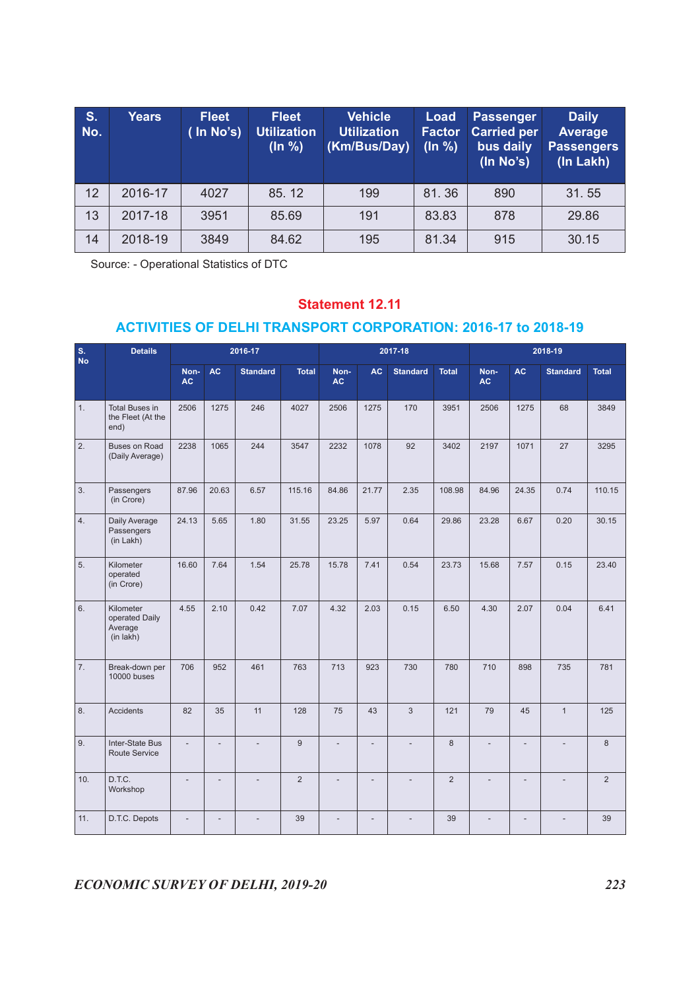| S <sub>1</sub>   | <b>Years</b>                                                         |                               | <b>Fleet</b> |                 | <b>Fleet</b>                  |                        | <b>Vehicle</b>     |     | <b>Load</b>              | Passenger                                    |           | <b>Daily</b>                                     |       |  |
|------------------|----------------------------------------------------------------------|-------------------------------|--------------|-----------------|-------------------------------|------------------------|--------------------|-----|--------------------------|----------------------------------------------|-----------|--------------------------------------------------|-------|--|
| No.              |                                                                      |                               | (In No's)    |                 | <b>Utilization</b><br>(ln % ) | (Km/Bus/Day)           | <b>Utilization</b> |     | <b>Factor</b><br>(ln % ) | <b>Carried per</b><br>bus daily<br>(ln No's) |           | <b>Average</b><br><b>Passengers</b><br>(In Lakh) |       |  |
| 12               | 2016-17                                                              |                               | 4027         |                 | 85.12                         |                        | 199                |     | 81.36                    | 890                                          |           | 31.55                                            |       |  |
| 13               | 2017-18                                                              |                               | 3951         |                 | 85.69                         |                        | 191                |     | 83.83                    | 878                                          |           | 29.86                                            |       |  |
| 14               | 2018-19                                                              | 3849<br>84.62<br>81.34<br>195 |              |                 |                               |                        |                    |     |                          | 915<br>30.15                                 |           |                                                  |       |  |
|                  | Source: - Operational Statistics of DTC                              |                               |              |                 |                               |                        |                    |     |                          |                                              |           |                                                  |       |  |
|                  |                                                                      |                               |              |                 |                               | <b>Statement 12.11</b> |                    |     |                          |                                              |           |                                                  |       |  |
|                  | <b>ACTIVITIES OF DELHI TRANSPORT CORPORATION: 2016-17 to 2018-19</b> |                               |              |                 |                               |                        |                    |     |                          |                                              |           |                                                  |       |  |
|                  | <b>Details</b>                                                       |                               |              | 2016-17         |                               |                        | 2017-18            |     |                          |                                              |           | 2018-19                                          |       |  |
|                  |                                                                      |                               | <b>AC</b>    | <b>Standard</b> | <b>Total</b>                  | Non-<br><b>AC</b>      |                    |     | <b>AC</b> Standard Total | Non-<br><b>AC</b>                            | <b>AC</b> | <b>Standard</b>                                  | Total |  |
| S.<br>No         |                                                                      | Non-<br><b>AC</b>             |              |                 |                               |                        |                    |     |                          |                                              |           |                                                  |       |  |
| $\vert 1. \vert$ | Total Buses in<br>the Fleet (At the<br>end)                          | 2506                          | 1275         | 246             | 4027                          | 2506                   | 1275               | 170 | 3951                     | 2506                                         | 1275      | 68                                               | 3849  |  |

#### Statement 12.11

#### ACTIVITIES OF DELHI TRANSPORT CORPORATION: 2016-17 to 2018-19

|                  |                                                                                                                 |                   |                          |                 | (ln % )        |                        | (Km/Bus/Day)             |                          | (ln % ) | bus daily<br>(ln No's)   |                          | <b>Passengers</b><br>(In Lakh) |                |
|------------------|-----------------------------------------------------------------------------------------------------------------|-------------------|--------------------------|-----------------|----------------|------------------------|--------------------------|--------------------------|---------|--------------------------|--------------------------|--------------------------------|----------------|
| 12               | 2016-17                                                                                                         |                   | 4027                     |                 | 85.12          |                        | 199                      |                          | 81.36   | 890                      |                          | 31.55                          |                |
| 13               | 2017-18                                                                                                         |                   | 3951                     |                 | 85.69          |                        | 191                      |                          | 83.83   | 878                      |                          | 29.86                          |                |
| 14               | 2018-19                                                                                                         |                   | 3849                     |                 | 84.62          |                        | 195                      |                          | 81.34   | 915                      |                          | 30.15                          |                |
|                  | Source: - Operational Statistics of DTC<br><b>ACTIVITIES OF DELHI TRANSPORT CORPORATION: 2016-17 to 2018-19</b> |                   |                          |                 |                | <b>Statement 12.11</b> |                          |                          |         |                          |                          |                                |                |
| S.<br>No         | <b>Details</b>                                                                                                  |                   |                          | 2016-17         |                |                        |                          | 2017-18                  |         |                          |                          | 2018-19                        |                |
|                  |                                                                                                                 | Non-<br><b>AC</b> | <b>AC</b>                | <b>Standard</b> | Total          | Non-<br><b>AC</b>      |                          | AC Standard              | Total   | Non-<br>AC               | <b>AC</b>                | <b>Standard</b>                | Total          |
| 1.               | Total Buses in<br>the Fleet (At the<br>end)                                                                     | 2506              | 1275                     | 246             | 4027           | 2506                   | 1275                     | 170                      | 3951    | 2506                     | 1275                     | 68                             | 3849           |
| $\overline{2}$   | Buses on Road<br>(Daily Average)                                                                                | 2238              | 1065                     | 244             | 3547           | 2232                   | 1078                     | 92                       | 3402    | 2197                     | 1071                     | 27                             | 3295           |
| 3.               | Passengers<br>(in Crore)                                                                                        | 87.96             | 20.63                    | 6.57            | 115.16         | 84.86                  | 21.77                    | 2.35                     | 108.98  | 84.96                    | 24.35                    | 0.74                           | 110.15         |
| 4.               | Daily Average<br>Passengers<br>(in Lakh)                                                                        | 24.13             | 5.65                     | 1.80            | 31.55          | 23.25                  | 5.97                     | 0.64                     | 29.86   | 23.28                    | 6.67                     | 0.20                           | 30.15          |
| 5.               | Kilometer<br>operated<br>(in Crore)                                                                             | 16.60             | 7.64                     | 1.54            | 25.78          | 15.78                  | 7.41                     | 0.54                     | 23.73   | 15.68                    | 7.57                     | 0.15                           | 23.40          |
| 6.               | Kilometer<br>operated Daily<br>Average<br>(in lakh)                                                             | 4.55              | 2.10                     | 0.42            | 7.07           | 4.32                   | 2.03                     | 0.15                     | 6.50    | 4.30                     | 2.07                     | 0.04                           | 6.41           |
|                  | 7. Break-down per<br>10000 buses                                                                                | 706               | $\Big $ 952              | 461             | 763 713        |                        | 923                      | 730                      | 780     | 710                      | 898                      | 735                            | 781            |
| 8.               | Accidents                                                                                                       | 82                | 35                       | 11              | 128            | 75                     | 43                       | $\mathbf{3}$             | 121     | 79                       | 45                       | $\mathbf{1}$                   | 125            |
| $\overline{9}$ . | Inter-State Bus<br>Route Service                                                                                | $\sim$            | $\overline{\phantom{a}}$ | $\sim$          | 9              |                        | $\overline{\phantom{a}}$ | $\overline{\phantom{a}}$ | 8       | $\overline{\phantom{a}}$ | $\overline{\phantom{a}}$ | $\overline{\phantom{a}}$       | 8              |
| 10.              | D.T.C.<br>Workshop                                                                                              | $\sim$            | $\overline{\phantom{a}}$ | $\sim$          | $\overline{2}$ |                        | $\overline{\phantom{a}}$ | $\sim$                   | 2       | $\sim$                   | $\sim$                   | $\sim$                         | $\overline{2}$ |
| 11.              | D.T.C. Depots                                                                                                   | $\sim$            | $\sim$                   | $\sim$          | 39             | $\sim$                 | $\sim$                   | $\overline{\phantom{a}}$ | 39      | $\sim$                   | $\sim$                   | $\sim$                         | 39             |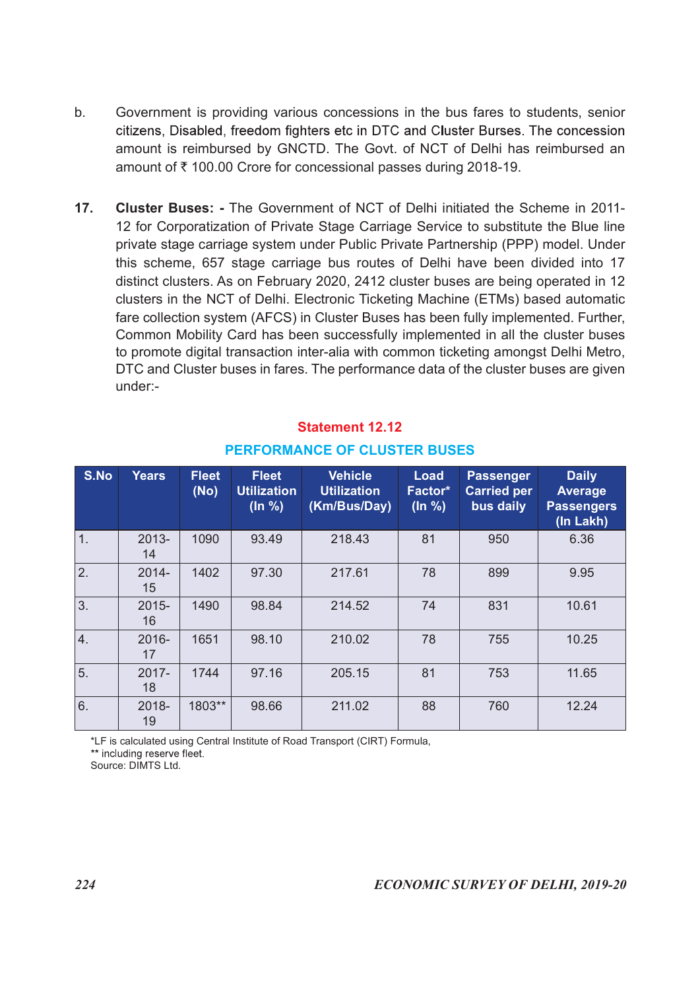- b. Government is providing various concessions in the bus fares to students, senior citizens, Disabled, freedom fighters etc in DTC and Cluster Burses. The concession amount is reimbursed by GNCTD. The Govt. of NCT of Delhi has reimbursed an amount of ₹100.00 Crore for concessional passes during 2018-19.
- 17. Cluster Buses: The Government of NCT of Delhi initiated the Scheme in 2011- 12 for Corporatization of Private Stage Carriage Service to substitute the Blue line private stage carriage system under Public Private Partnership (PPP) model. Under this scheme, 657 stage carriage bus routes of Delhi have been divided into 17 distinct clusters. As on February 2020, 2412 cluster buses are being operated in 12 clusters in the NCT of Delhi. Electronic Ticketing Machine (ETMs) based automatic fare collection system (AFCS) in Cluster Buses has been fully implemented. Further, Common Mobility Card has been successfully implemented in all the cluster buses to promote digital transaction inter-alia with common ticketing amongst Delhi Metro, DTC and Cluster buses in fares. The performance data of the cluster buses are given under:- **T.** Cluster Buses: - The Government of NCT of Delhi initiated the Scheme 12 for Corporatization of Private Stage Carriage Service to substitute the private stage carriage system under Public Private Partnership (PPP) mod private stage carriage system under Public Private Partnership (PF<br>this scheme, 657 stage carriage bus routes of Delhi have been<br>distinct clusters. As on February 2020, 2412 cluster buses are beir<br>clusters in the NCT of De e carriage system under Public Private Partnership (PPP) model. Under<br>
657 stage carriage bus routes of Delhi have been divided into 17<br>
encs. As on February 2020, 2412 cluster buses are being operated in 12<br>
enc. As on Fe

|      | under:-                                           |                      |                                              | distinct clusters. As on February 2020, 2412 cluster buses are being operated in 12<br>clusters in the NCT of Delhi. Electronic Ticketing Machine (ETMs) based automatic<br>fare collection system (AFCS) in Cluster Buses has been fully implemented. Further,<br>Common Mobility Card has been successfully implemented in all the cluster buses<br>to promote digital transaction inter-alia with common ticketing amongst Delhi Metro,<br>DTC and Cluster buses in fares. The performance data of the cluster buses are given |                            |                                                     |                                                                  |
|------|---------------------------------------------------|----------------------|----------------------------------------------|-----------------------------------------------------------------------------------------------------------------------------------------------------------------------------------------------------------------------------------------------------------------------------------------------------------------------------------------------------------------------------------------------------------------------------------------------------------------------------------------------------------------------------------|----------------------------|-----------------------------------------------------|------------------------------------------------------------------|
|      |                                                   |                      |                                              | <b>Statement 12.12</b><br><b>PERFORMANCE OF CLUSTER BUSES</b>                                                                                                                                                                                                                                                                                                                                                                                                                                                                     |                            |                                                     |                                                                  |
| S.No | <b>Years</b>                                      | <b>Fleet</b><br>(No) | <b>Fleet</b><br><b>Utilization</b><br>(ln %) | <b>Vehicle</b><br><b>Utilization</b><br>(Km/Bus/Day)                                                                                                                                                                                                                                                                                                                                                                                                                                                                              | Load<br>Factor*<br>(ln % ) | <b>Passenger</b><br><b>Carried per</b><br>bus daily | <b>Daily</b><br><b>Average</b><br><b>Passengers</b><br>(In Lakh) |
| 1.   | 2013-<br>14                                       | 1090                 | 93.49                                        | 218.43                                                                                                                                                                                                                                                                                                                                                                                                                                                                                                                            | 81                         | 950                                                 | 6.36                                                             |
| 2.   | 2014-<br>15                                       | 1402                 | 97.30                                        | 217.61                                                                                                                                                                                                                                                                                                                                                                                                                                                                                                                            | 78                         | 899                                                 | 9.95                                                             |
| 3.   | $2015 -$<br>16                                    | 1490                 | 98.84                                        | 214.52                                                                                                                                                                                                                                                                                                                                                                                                                                                                                                                            | 74                         | 831                                                 | 10.61                                                            |
| 4.   | 2016-<br>17                                       | 1651                 | 98.10                                        | 210.02                                                                                                                                                                                                                                                                                                                                                                                                                                                                                                                            | 78                         | 755                                                 | 10.25                                                            |
| 5.   | 2017-<br>18                                       | 1744                 | 97.16                                        | 205.15                                                                                                                                                                                                                                                                                                                                                                                                                                                                                                                            | 81                         | 753                                                 | 11.65                                                            |
| 6.   | 2018-<br>19                                       | 1803**               | 98.66                                        | 211.02                                                                                                                                                                                                                                                                                                                                                                                                                                                                                                                            | 88                         | 760                                                 | 12.24                                                            |
|      | ** including reserve fleet.<br>Source: DIMTS Ltd. |                      |                                              | *LF is calculated using Central Institute of Road Transport (CIRT) Formula,                                                                                                                                                                                                                                                                                                                                                                                                                                                       |                            |                                                     |                                                                  |

# PERFORMANCE OF CLUSTER BUSES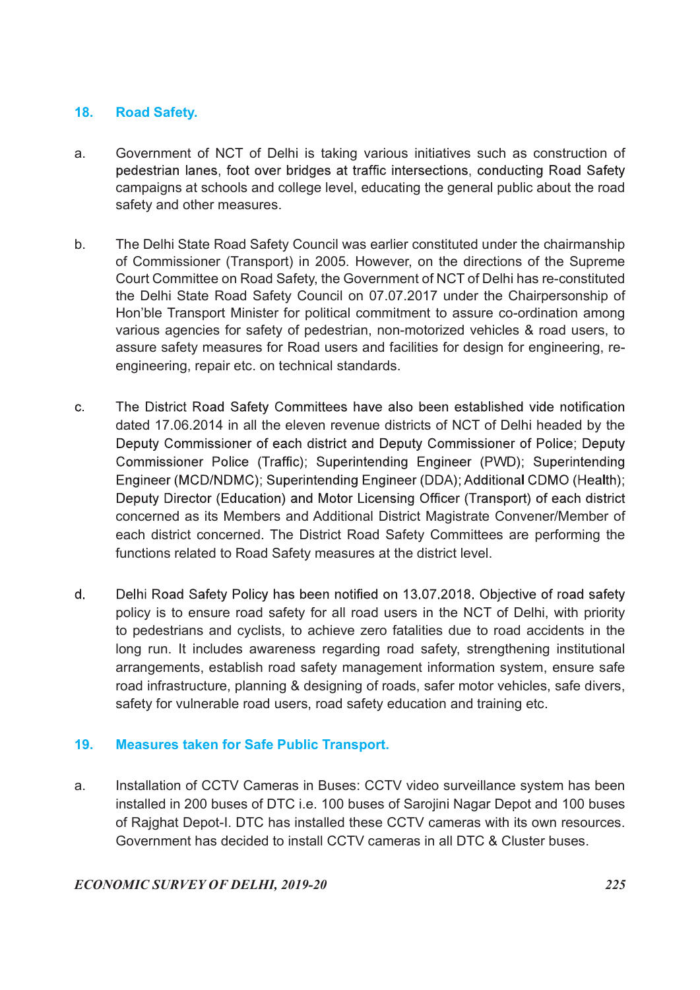### 18. Road Safety.

- a. Government of NCT of Delhi is taking various initiatives such as construction of pedestrian lanes, foot over bridges at traffic intersections, conducting Road Safety campaigns at schools and college level, educating the general public about the road safety and other measures.
- b. The Delhi State Road Safety Council was earlier constituted under the chairmanship of Commissioner (Transport) in 2005. However, on the directions of the Supreme Court Committee on Road Safety, the Government of NCT of Delhi has re-constituted the Delhi State Road Safety Council on 07.07.2017 under the Chairpersonship of Hon'ble Transport Minister for political commitment to assure co-ordination among various agencies for safety of pedestrian, non-motorized vehicles & road users, to assure safety measures for Road users and facilities for design for engineering, reengineering, repair etc. on technical standards.
- $\mathbf{C}$ The District Road Safety Committees have also been established vide notification dated 17.06.2014 in all the eleven revenue districts of NCT of Delhi headed by the Deputy Commissioner of each district and Deputy Commissioner of Police; Deputy Commissioner Police (Traffic); Superintending Engineer (PWD); Superintending Engineer (MCD/NDMC); Superintending Engineer (DDA); Additional CDMO (Health); Deputy Director (Education) and Motor Licensing Officer (Transport) of each district concerned as its Members and Additional District Magistrate Convener/Member of each district concerned. The District Road Safety Committees are performing the functions related to Road Safety measures at the district level.
- $d_{-}$ Delhi Road Safety Policy has been notified on 13.07.2018. Objective of road safety policy is to ensure road safety for all road users in the NCT of Delhi, with priority to pedestrians and cyclists, to achieve zero fatalities due to road accidents in the long run. It includes awareness regarding road safety, strengthening institutional arrangements, establish road safety management information system, ensure safe road infrastructure, planning & designing of roads, safer motor vehicles, safe divers, safety for vulnerable road users, road safety education and training etc.

# 19. Measures taken for Safe Public Transport.

a. Installation of CCTV Cameras in Buses: CCTV video surveillance system has been installed in 200 buses of DTC i.e. 100 buses of Sarojini Nagar Depot and 100 buses of Rajghat Depot-I. DTC has installed these CCTV cameras with its own resources. Government has decided to install CCTV cameras in all DTC & Cluster buses.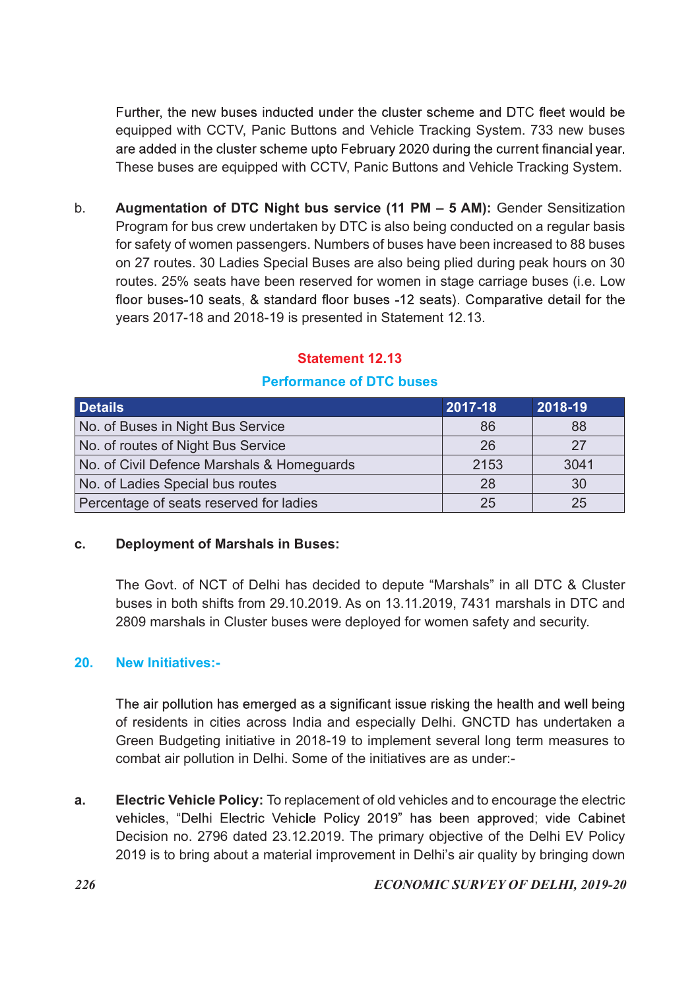equipped with CCTV, Panic Buttons and Vehicle Tracking System. 733 new buses These buses are equipped with CCTV, Panic Buttons and Vehicle Tracking System.

b. Augmentation of DTC Night bus service (11 PM – 5 AM): Gender Sensitization Program for bus crew undertaken by DTC is also being conducted on a regular basis for safety of women passengers. Numbers of buses have been increased to 88 buses on 27 routes. 30 Ladies Special Buses are also being plied during peak hours on 30 routes. 25% seats have been reserved for women in stage carriage buses (i.e. Low years 2017-18 and 2018-19 is presented in Statement 12.13. Further, the new buses inducted under the cluster scheme and DTC fleet would be<br>equipped with CCTV, Panic Buttons and Vehicle Tracking System. 733 new buses<br>are aded in the cluster scheme upto February 2020 during the cur equipped with CCTV, Panic Buttons and Vehicle Tracking System. 733 new buses<br>
are added in the cluster scheme upto February 2020 during the current financial year.<br>
These buses are equipped with CCTV, Panic Buttons and Veh are added in the cluster scheme upto February 2020 during the current financial year.<br>
These buses are equipped with CCTV, Panic Buttons and Vehicle Tracking System.<br>
Augmentation of DTC Night bus service (11 PM – 5 AM): G These buses are equipped with CCTV, Panic Buttons and Vehicle Tracking System.<br>
9. **Augmentation of DTC Night bus service (11 PM – 5 AM):** Gender Sensitization<br>
Program for bus crew undertaken by DTC is also being conducte No. **Augmentation of DTC Night bus service (11 PM – 5 AM):** Gender Sensitization<br>
Program for bus crew undertaken by DTC is also being conducted on a regular basis<br>
for safety of women passengers. Numbers of buses have be 9. **Augmentation of DTC Night bus service (11 PM – 5 AM):** Gender Sensitization<br>
Program for bus crew undertaken by DTC is also being conducted on a regular basis<br>
for safety of women passengers. Numbers of buses have bee

# Statement 12.13

# Performance of DTC buses

# c. Deployment of Marshals in Buses:

 The Govt. of NCT of Delhi has decided to depute "Marshals" in all DTC & Cluster buses in both shifts from 29.10.2019. As on 13.11.2019, 7431 marshals in DTC and 2809 marshals in Cluster buses were deployed for women safety and security.

# 20. New Initiatives:-

The air pollution has emerged as a significant issue risking the health and well being of residents in cities across India and especially Delhi. GNCTD has undertaken a Green Budgeting initiative in 2018-19 to implement several long term measures to combat air pollution in Delhi. Some of the initiatives are as under:-

a. Electric Vehicle Policy: To replacement of old vehicles and to encourage the electric vehicles, "Delhi Electric Vehicle Policy 2019" has been approved; vide Cabinet Decision no. 2796 dated 23.12.2019. The primary objective of the Delhi EV Policy 2019 is to bring about a material improvement in Delhi's air quality by bringing down